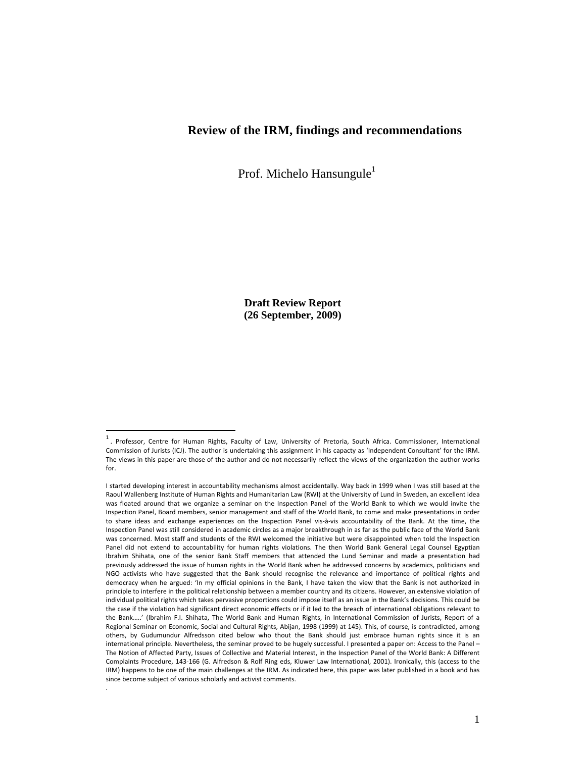#### **Review of the IRM, findings and recommendations**

Prof. Michelo Hansungule<sup>1</sup>

**Draft Review Report (26 September, 2009)** 

.

 $1$ . Professor, Centre for Human Rights, Faculty of Law, University of Pretoria, South Africa. Commissioner, International Commission of Jurists (ICJ). The author is undertaking this assignment in his capacty as 'Independent Consultant' for the IRM. The views in this paper are those of the author and do not necessarily reflect the views of the organization the author works for.

I started developing interest in accountability mechanisms almost accidentally. Way back in 1999 when I was still based at the Raoul Wallenberg Institute of Human Rights and Humanitarian Law (RWI) at the University of Lund in Sweden, an excellent idea was floated around that we organize a seminar on the Inspection Panel of the World Bank to which we would invite the Inspection Panel, Board members, senior management and staff of the World Bank, to come and make presentations in order to share ideas and exchange experiences on the Inspection Panel vis‐à‐vis accountability of the Bank. At the time, the Inspection Panel was still considered in academic circles as a major breakthrough in as far as the public face of the World Bank was concerned. Most staff and students of the RWI welcomed the initiative but were disappointed when told the Inspection Panel did not extend to accountability for human rights violations. The then World Bank General Legal Counsel Egyptian Ibrahim Shihata, one of the senior Bank Staff members that attended the Lund Seminar and made a presentation had previously addressed the issue of human rights in the World Bank when he addressed concerns by academics, politicians and NGO activists who have suggested that the Bank should recognise the relevance and importance of political rights and democracy when he argued: 'In my official opinions in the Bank, I have taken the view that the Bank is not authorized in principle to interfere in the political relationship between a member country and its citizens. However, an extensive violation of individual political rights which takes pervasive proportions could impose itself as an issue in the Bank's decisions. This could be the case if the violation had significant direct economic effects or if it led to the breach of international obligations relevant to the Bank…..' (Ibrahim F.I. Shihata, The World Bank and Human Rights, in International Commission of Jurists, Report of a Regional Seminar on Economic, Social and Cultural Rights, Abijan, 1998 (1999) at 145). This, of course, is contradicted, among others, by Gudumundur Alfredsson cited below who thout the Bank should just embrace human rights since it is an international principle. Nevertheless, the seminar proved to be hugely successful. I presented a paper on: Access to the Panel – The Notion of Affected Party, Issues of Collective and Material Interest, in the Inspection Panel of the World Bank: A Different Complaints Procedure, 143‐166 (G. Alfredson & Rolf Ring eds, Kluwer Law International, 2001). Ironically, this (access to the IRM) happens to be one of the main challenges at the IRM. As indicated here, this paper was later published in a book and has since become subject of various scholarly and activist comments.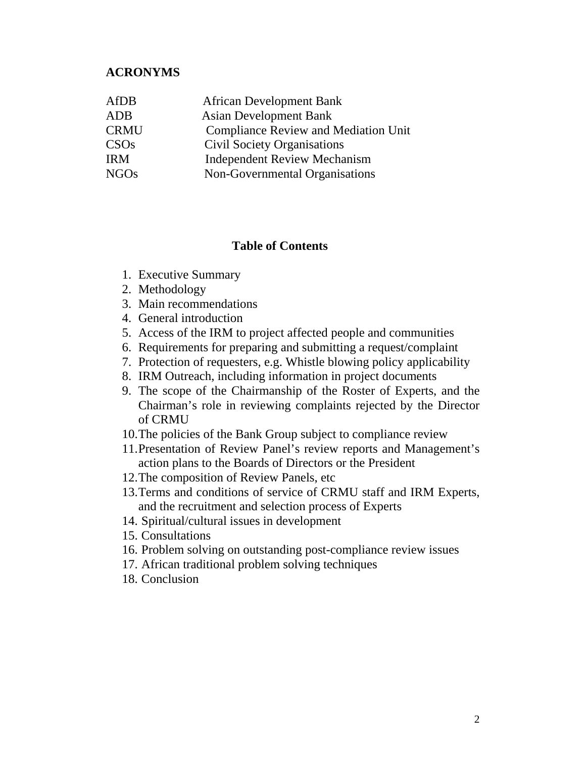#### **ACRONYMS**

| AfDB        | <b>African Development Bank</b>             |
|-------------|---------------------------------------------|
| ADB         | <b>Asian Development Bank</b>               |
| <b>CRMU</b> | <b>Compliance Review and Mediation Unit</b> |
| CSOs        | Civil Society Organisations                 |
| <b>IRM</b>  | <b>Independent Review Mechanism</b>         |
| <b>NGOs</b> | Non-Governmental Organisations              |
|             |                                             |

#### **Table of Contents**

- 1. Executive Summary
- 2. Methodology
- 3. Main recommendations
- 4. General introduction
- 5. Access of the IRM to project affected people and communities
- 6. Requirements for preparing and submitting a request/complaint
- 7. Protection of requesters, e.g. Whistle blowing policy applicability
- 8. IRM Outreach, including information in project documents
- 9. The scope of the Chairmanship of the Roster of Experts, and the Chairman's role in reviewing complaints rejected by the Director of CRMU
- 10.The policies of the Bank Group subject to compliance review
- 11.Presentation of Review Panel's review reports and Management's action plans to the Boards of Directors or the President
- 12.The composition of Review Panels, etc
- 13.Terms and conditions of service of CRMU staff and IRM Experts, and the recruitment and selection process of Experts
- 14. Spiritual/cultural issues in development
- 15. Consultations
- 16. Problem solving on outstanding post-compliance review issues
- 17. African traditional problem solving techniques
- 18. Conclusion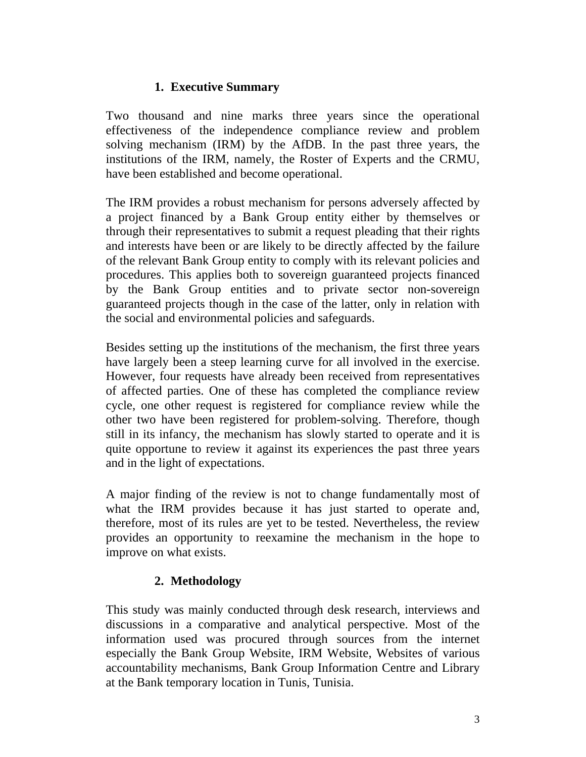# **1. Executive Summary**

Two thousand and nine marks three years since the operational effectiveness of the independence compliance review and problem solving mechanism (IRM) by the AfDB. In the past three years, the institutions of the IRM, namely, the Roster of Experts and the CRMU, have been established and become operational.

The IRM provides a robust mechanism for persons adversely affected by a project financed by a Bank Group entity either by themselves or through their representatives to submit a request pleading that their rights and interests have been or are likely to be directly affected by the failure of the relevant Bank Group entity to comply with its relevant policies and procedures. This applies both to sovereign guaranteed projects financed by the Bank Group entities and to private sector non-sovereign guaranteed projects though in the case of the latter, only in relation with the social and environmental policies and safeguards.

Besides setting up the institutions of the mechanism, the first three years have largely been a steep learning curve for all involved in the exercise. However, four requests have already been received from representatives of affected parties. One of these has completed the compliance review cycle, one other request is registered for compliance review while the other two have been registered for problem-solving. Therefore, though still in its infancy, the mechanism has slowly started to operate and it is quite opportune to review it against its experiences the past three years and in the light of expectations.

A major finding of the review is not to change fundamentally most of what the IRM provides because it has just started to operate and, therefore, most of its rules are yet to be tested. Nevertheless, the review provides an opportunity to reexamine the mechanism in the hope to improve on what exists.

# **2. Methodology**

This study was mainly conducted through desk research, interviews and discussions in a comparative and analytical perspective. Most of the information used was procured through sources from the internet especially the Bank Group Website, IRM Website, Websites of various accountability mechanisms, Bank Group Information Centre and Library at the Bank temporary location in Tunis, Tunisia.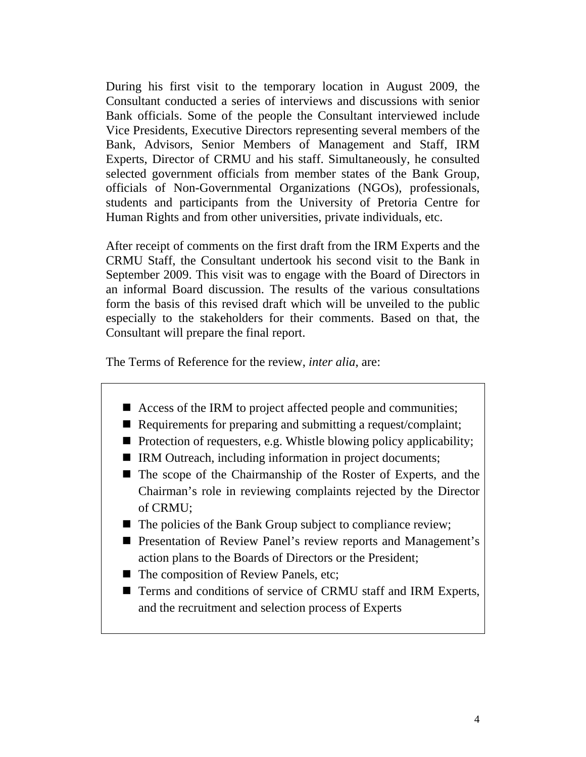During his first visit to the temporary location in August 2009, the Consultant conducted a series of interviews and discussions with senior Bank officials. Some of the people the Consultant interviewed include Vice Presidents, Executive Directors representing several members of the Bank, Advisors, Senior Members of Management and Staff, IRM Experts, Director of CRMU and his staff. Simultaneously, he consulted selected government officials from member states of the Bank Group, officials of Non-Governmental Organizations (NGOs), professionals, students and participants from the University of Pretoria Centre for Human Rights and from other universities, private individuals, etc.

After receipt of comments on the first draft from the IRM Experts and the CRMU Staff, the Consultant undertook his second visit to the Bank in September 2009. This visit was to engage with the Board of Directors in an informal Board discussion. The results of the various consultations form the basis of this revised draft which will be unveiled to the public especially to the stakeholders for their comments. Based on that, the Consultant will prepare the final report.

The Terms of Reference for the review, *inter alia*, are:

- Access of the IRM to project affected people and communities;
- Requirements for preparing and submitting a request/complaint;
- $\blacksquare$  Protection of requesters, e.g. Whistle blowing policy applicability;
- IRM Outreach, including information in project documents;
- The scope of the Chairmanship of the Roster of Experts, and the Chairman's role in reviewing complaints rejected by the Director of CRMU;
- $\blacksquare$  The policies of the Bank Group subject to compliance review;
- **Presentation of Review Panel's review reports and Management's** action plans to the Boards of Directors or the President;
- The composition of Review Panels, etc;
- Terms and conditions of service of CRMU staff and IRM Experts, and the recruitment and selection process of Experts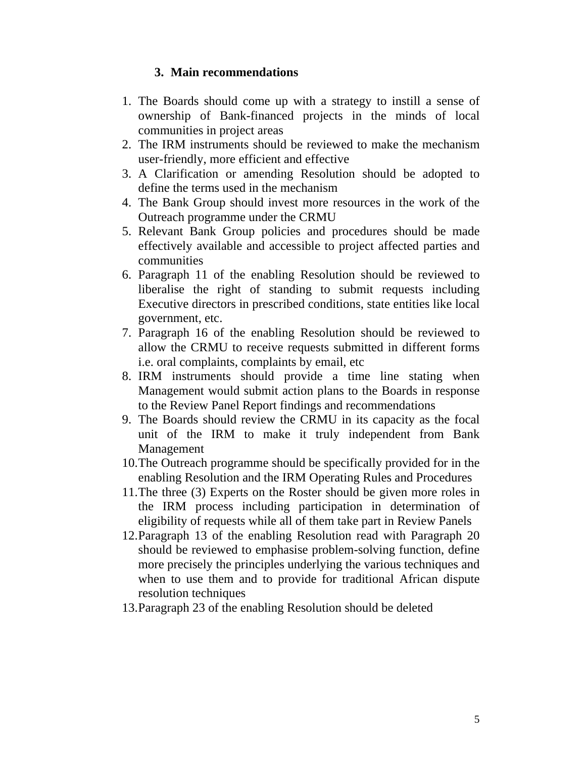## **3. Main recommendations**

- 1. The Boards should come up with a strategy to instill a sense of ownership of Bank-financed projects in the minds of local communities in project areas
- 2. The IRM instruments should be reviewed to make the mechanism user-friendly, more efficient and effective
- 3. A Clarification or amending Resolution should be adopted to define the terms used in the mechanism
- 4. The Bank Group should invest more resources in the work of the Outreach programme under the CRMU
- 5. Relevant Bank Group policies and procedures should be made effectively available and accessible to project affected parties and communities
- 6. Paragraph 11 of the enabling Resolution should be reviewed to liberalise the right of standing to submit requests including Executive directors in prescribed conditions, state entities like local government, etc.
- 7. Paragraph 16 of the enabling Resolution should be reviewed to allow the CRMU to receive requests submitted in different forms i.e. oral complaints, complaints by email, etc
- 8. IRM instruments should provide a time line stating when Management would submit action plans to the Boards in response to the Review Panel Report findings and recommendations
- 9. The Boards should review the CRMU in its capacity as the focal unit of the IRM to make it truly independent from Bank Management
- 10.The Outreach programme should be specifically provided for in the enabling Resolution and the IRM Operating Rules and Procedures
- 11.The three (3) Experts on the Roster should be given more roles in the IRM process including participation in determination of eligibility of requests while all of them take part in Review Panels
- 12.Paragraph 13 of the enabling Resolution read with Paragraph 20 should be reviewed to emphasise problem-solving function, define more precisely the principles underlying the various techniques and when to use them and to provide for traditional African dispute resolution techniques
- 13.Paragraph 23 of the enabling Resolution should be deleted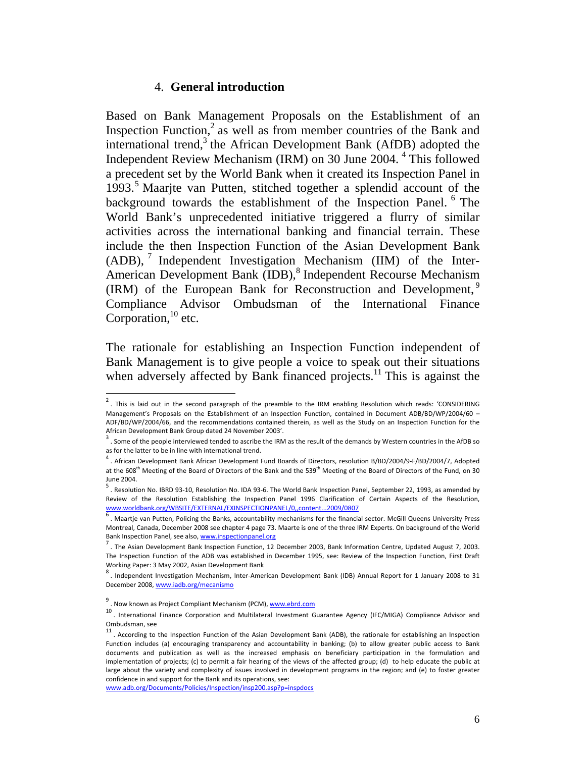#### 4. **General introduction**

Based on Bank Management Proposals on the Establishment of an Inspection Function, $2$  as well as from member countries of the Bank and international trend,<sup>3</sup> the African Development Bank (AfDB) adopted the Independent Review Mechanism (IRM) on 30 June 2004. <sup>4</sup> This followed a precedent set by the World Bank when it created its Inspection Panel in 1993.<sup>5</sup> Maarjte van Putten, stitched together a splendid account of the background towards the establishment of the Inspection Panel.<sup>6</sup> The World Bank's unprecedented initiative triggered a flurry of similar activities across the international banking and financial terrain. These include the then Inspection Function of the Asian Development Bank  $(ADB)$ ,  $\frac{7}{7}$  Independent Investigation Mechanism (IIM) of the Inter-American Development Bank (IDB),<sup>8</sup> Independent Recourse Mechanism (IRM) of the European Bank for Reconstruction and Development, <sup>9</sup> Compliance Advisor Ombudsman of the International Finance Corporation,<sup>10</sup> etc.

The rationale for establishing an Inspection Function independent of Bank Management is to give people a voice to speak out their situations when adversely affected by Bank financed projects.<sup>11</sup> This is against the

 $\overline{\phantom{a}}$ 

www.adb.org/Documents/Policies/Inspection/insp200.asp?p=inspdocs

 $<sup>2</sup>$ . This is laid out in the second paragraph of the preamble to the IRM enabling Resolution which reads: 'CONSIDERING</sup> Management's Proposals on the Establishment of an Inspection Function, contained in Document ADB/BD/WP/2004/60 – ADF/BD/WP/2004/66, and the recommendations contained therein, as well as the Study on an Inspection Function for the

African Development Bank Group dated 24 November 2003'.<br> $3$ . Some of the people interviewed tended to ascribe the IRM as the result of the demands by Western countries in the AfDB so as for the latter to be in line with i

<sup>.</sup> African Development Bank African Development Fund Boards of Directors, resolution B/BD/2004/9‐F/BD/2004/7, Adopted at the 608<sup>th</sup> Meeting of the Board of Directors of the Bank and the 539<sup>th</sup> Meeting of the Board of Directors of the Fund, on 30 June 2004.<br><sup>5</sup> . Resolution No. IBRD 93-10, Resolution No. IDA 93-6. The World Bank Inspection Panel, September 22, 1993, as amended by

Review of the Resolution Establishing the Inspection Panel 1996 Clarification of Certain Aspects of the Resolution,<br>www.worldbank.org/WBSITE/EXTERNAL/EXINSPECTIONPANEL/0,,content...2009/0807

<sup>.</sup> Maartje van Putten, Policing the Banks, accountability mechanisms for the financial sector. McGill Queens University Press Montreal, Canada, December 2008 see chapter 4 page 73. Maarte is one of the three IRM Experts. On background of the World Bank Inspection Panel, see also, www.inspectionpanel.org **Bank Paneling and Bank Information Centre**, Updated August 7, 2003.<br><sup>7</sup>. The Asian Development Bank Inspection Function, 12 December 2003, Bank Information Centre,

The Inspection Function of the ADB was established in December 1995, see: Review of the Inspection Function, First Draft

Working Paper: 3 May 2002, Asian Development Bank<br><sup>8</sup>. Independent Investigation Mechanism, Inter-American Development Bank (IDB) Annual Report for 1 January 2008 to 31 December 2008, www.iadb.org/mecanismo

<sup>&</sup>lt;sup>9</sup> . Now known as Project Compliant Mechanism (PCM), www.ebrd.com

<sup>10.</sup> International Finance Corporation and Multilateral Investment Guarantee Agency (IFC/MIGA) Compliance Advisor and<br>
Ombudsman, see

Ombudsman, see <sup>11</sup> . According to the Inspection Function of the Asian Development Bank (ADB), the rationale for establishing an Inspection Function includes (a) encouraging transparency and accountability in banking; (b) to allow greater public access to Bank documents and publication as well as the increased emphasis on beneficiary participation in the formulation and implementation of projects; (c) to permit a fair hearing of the views of the affected group; (d) to help educate the public at large about the variety and complexity of issues involved in development programs in the region; and (e) to foster greater confidence in and support for the Bank and its operations, see: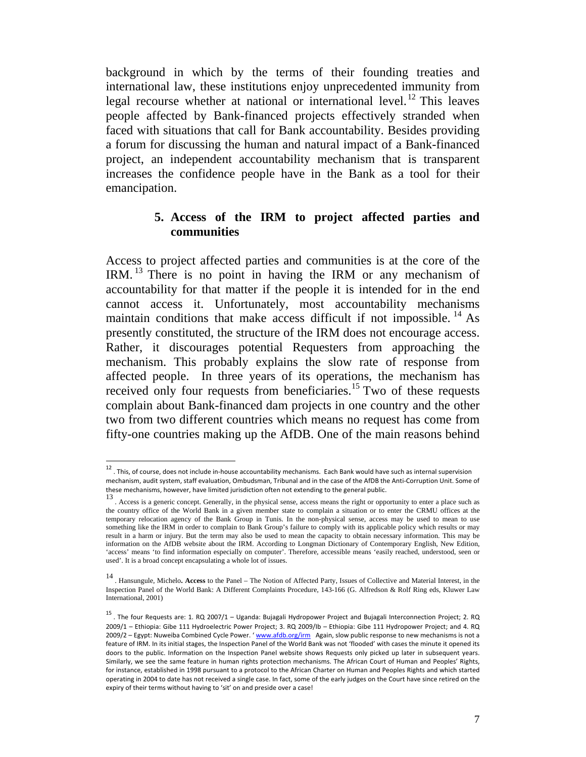background in which by the terms of their founding treaties and international law, these institutions enjoy unprecedented immunity from legal recourse whether at national or international level.<sup>12</sup> This leaves people affected by Bank-financed projects effectively stranded when faced with situations that call for Bank accountability. Besides providing a forum for discussing the human and natural impact of a Bank-financed project, an independent accountability mechanism that is transparent increases the confidence people have in the Bank as a tool for their emancipation.

#### **5. Access of the IRM to project affected parties and communities**

Access to project affected parties and communities is at the core of the IRM. 13 There is no point in having the IRM or any mechanism of accountability for that matter if the people it is intended for in the end cannot access it. Unfortunately, most accountability mechanisms maintain conditions that make access difficult if not impossible.  $\frac{14}{14}$  As presently constituted, the structure of the IRM does not encourage access. Rather, it discourages potential Requesters from approaching the mechanism. This probably explains the slow rate of response from affected people. In three years of its operations, the mechanism has received only four requests from beneficiaries.<sup>15</sup> Two of these requests complain about Bank-financed dam projects in one country and the other two from two different countries which means no request has come from fifty-one countries making up the AfDB. One of the main reasons behind

 $\overline{\phantom{a}}$ 

 $^{12}$  . This, of course, does not include in-house accountability mechanisms. Each Bank would have such as internal supervision mechanism, audit system, staff evaluation, Ombudsman, Tribunal and in the case of the AfDB the Anti‐Corruption Unit. Some of these mechanisms, however, have limited jurisdiction often not extending to the general public.

<sup>13.</sup> Access is a generic concept. Generally, in the physical sense, access means the right or opportunity to enter a place such as the country office of the World Bank in a given member state to complain a situation or to enter the CRMU offices at the temporary relocation agency of the Bank Group in Tunis. In the non-physical sense, access may be used to mean to use something like the IRM in order to complain to Bank Group's failure to comply with its applicable policy which results or may result in a harm or injury. But the term may also be used to mean the capacity to obtain necessary information. This may be information on the AfDB website about the IRM. According to Longman Dictionary of Contemporary English, New Edition, 'access' means 'to find information especially on computer'. Therefore, accessible means 'easily reached, understood, seen or used'. It is a broad concept encapsulating a whole lot of issues.

<sup>14</sup> . Hansungule, Michelo**. Access** to the Panel – The Notion of Affected Party, Issues of Collective and Material Interest, in the Inspection Panel of the World Bank: A Different Complaints Procedure, 143-166 (G. Alfredson & Rolf Ring eds, Kluwer Law International, 2001)

<sup>15</sup> . The four Requests are: 1. RQ 2007/1 – Uganda: Bujagali Hydropower Project and Bujagali Interconnection Project; 2. RQ 2009/1 – Ethiopia: Gibe 111 Hydroelectric Power Project; 3. RQ 2009/Ib – Ethiopia: Gibe 111 Hydropower Project; and 4. RQ 2009/2 - Egypt: Nuweiba Combined Cycle Power. ' www.afdb.org/irm Again, slow public response to new mechanisms is not a feature of IRM. In its initial stages, the Inspection Panel of the World Bank was not 'flooded' with cases the minute it opened its doors to the public. Information on the Inspection Panel website shows Requests only picked up later in subsequent years. Similarly, we see the same feature in human rights protection mechanisms. The African Court of Human and Peoples' Rights, for instance, established in 1998 pursuant to a protocol to the African Charter on Human and Peoples Rights and which started operating in 2004 to date has not received a single case. In fact, some of the early judges on the Court have since retired on the expiry of their terms without having to 'sit' on and preside over a case!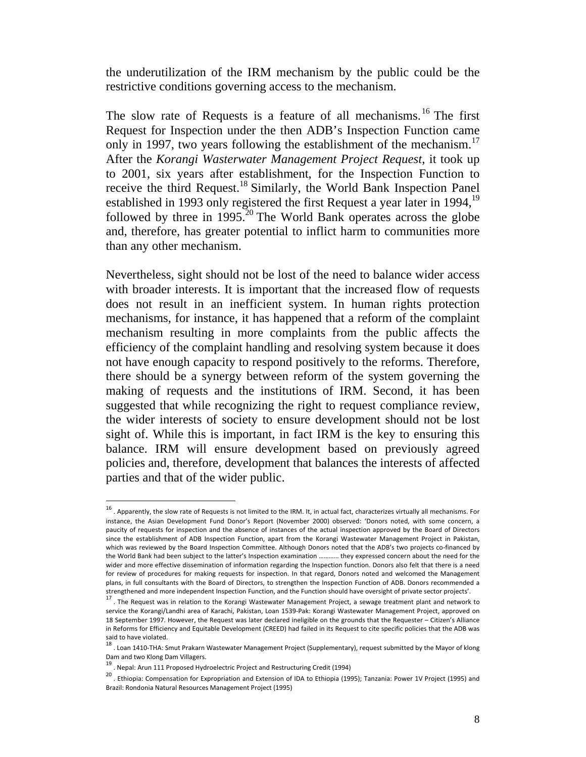the underutilization of the IRM mechanism by the public could be the restrictive conditions governing access to the mechanism.

The slow rate of Requests is a feature of all mechanisms.<sup>16</sup> The first Request for Inspection under the then ADB's Inspection Function came only in 1997, two years following the establishment of the mechanism.<sup>17</sup> After the *Korangi Wasterwater Management Project Request*, it took up to 2001, six years after establishment, for the Inspection Function to receive the third Request.18 Similarly, the World Bank Inspection Panel established in 1993 only registered the first Request a year later in 1994,<sup>19</sup> followed by three in 1995.<sup>20</sup> The World Bank operates across the globe and, therefore, has greater potential to inflict harm to communities more than any other mechanism.

Nevertheless, sight should not be lost of the need to balance wider access with broader interests. It is important that the increased flow of requests does not result in an inefficient system. In human rights protection mechanisms, for instance, it has happened that a reform of the complaint mechanism resulting in more complaints from the public affects the efficiency of the complaint handling and resolving system because it does not have enough capacity to respond positively to the reforms. Therefore, there should be a synergy between reform of the system governing the making of requests and the institutions of IRM. Second, it has been suggested that while recognizing the right to request compliance review, the wider interests of society to ensure development should not be lost sight of. While this is important, in fact IRM is the key to ensuring this balance. IRM will ensure development based on previously agreed policies and, therefore, development that balances the interests of affected parties and that of the wider public.

<sup>16</sup> . Apparently, the slow rate of Requests is not limited to the IRM. It, in actual fact, characterizes virtually all mechanisms. For instance, the Asian Development Fund Donor's Report (November 2000) observed: 'Donors noted, with some concern, a paucity of requests for inspection and the absence of instances of the actual inspection approved by the Board of Directors since the establishment of ADB Inspection Function, apart from the Korangi Wastewater Management Project in Pakistan, which was reviewed by the Board Inspection Committee. Although Donors noted that the ADB's two projects co-financed by the World Bank had been subject to the latter's Inspection examination ………… they expressed concern about the need for the wider and more effective dissemination of information regarding the Inspection function. Donors also felt that there is a need for review of procedures for making requests for inspection. In that regard, Donors noted and welcomed the Management plans, in full consultants with the Board of Directors, to strengthen the Inspection Function of ADB. Donors recommended a<br>strengthened and more independent Inspection Function, and the Function should have oversight of pr

<sup>17.</sup> The Request was in relation to the Korangi Wastewater Management Project, a sewage treatment plant and network to service the Korangi/Landhi area of Karachi, Pakistan, Loan 1539‐Pak: Korangi Wastewater Management Project, approved on 18 September 1997. However, the Request was later declared ineligible on the grounds that the Requester – Citizen's Alliance in Reforms for Efficiency and Equitable Development (CREED) had failed in its Request to cite specific policies that the ADB was

said to have violated.<br><sup>18</sup> . Loan 1410‐THA: Smut Prakarn Wastewater Management Project (Supplementary), request submitted by the Mayor of klong<br>Dam and two Klong Dam Villagers.

<sup>&</sup>lt;sup>19</sup> . Nepal: Arun 111 Proposed Hydroelectric Project and Restructuring Credit (1994)

<sup>20</sup> . Ethiopia: Compensation for Expropriation and Extension of IDA to Ethiopia (1995); Tanzania: Power 1V Project (1995) and Brazil: Rondonia Natural Resources Management Project (1995)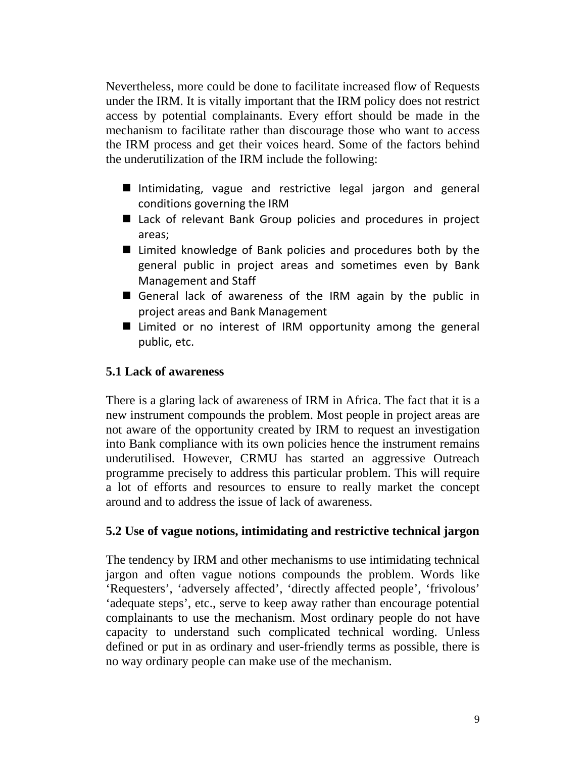Nevertheless, more could be done to facilitate increased flow of Requests under the IRM. It is vitally important that the IRM policy does not restrict access by potential complainants. Every effort should be made in the mechanism to facilitate rather than discourage those who want to access the IRM process and get their voices heard. Some of the factors behind the underutilization of the IRM include the following:

- Intimidating, vague and restrictive legal jargon and general conditions governing the IRM
- Lack of relevant Bank Group policies and procedures in project areas;
- Limited knowledge of Bank policies and procedures both by the general public in project areas and sometimes even by Bank Management and Staff
- General lack of awareness of the IRM again by the public in project areas and Bank Management
- Limited or no interest of IRM opportunity among the general public, etc.

## **5.1 Lack of awareness**

There is a glaring lack of awareness of IRM in Africa. The fact that it is a new instrument compounds the problem. Most people in project areas are not aware of the opportunity created by IRM to request an investigation into Bank compliance with its own policies hence the instrument remains underutilised. However, CRMU has started an aggressive Outreach programme precisely to address this particular problem. This will require a lot of efforts and resources to ensure to really market the concept around and to address the issue of lack of awareness.

## **5.2 Use of vague notions, intimidating and restrictive technical jargon**

The tendency by IRM and other mechanisms to use intimidating technical jargon and often vague notions compounds the problem. Words like 'Requesters', 'adversely affected', 'directly affected people', 'frivolous' 'adequate steps', etc., serve to keep away rather than encourage potential complainants to use the mechanism. Most ordinary people do not have capacity to understand such complicated technical wording. Unless defined or put in as ordinary and user-friendly terms as possible, there is no way ordinary people can make use of the mechanism.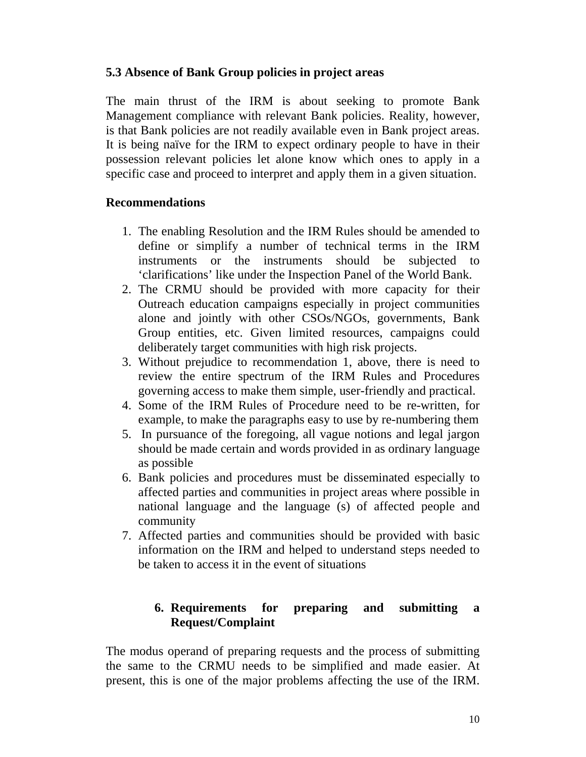# **5.3 Absence of Bank Group policies in project areas**

The main thrust of the IRM is about seeking to promote Bank Management compliance with relevant Bank policies. Reality, however, is that Bank policies are not readily available even in Bank project areas. It is being naïve for the IRM to expect ordinary people to have in their possession relevant policies let alone know which ones to apply in a specific case and proceed to interpret and apply them in a given situation.

## **Recommendations**

- 1. The enabling Resolution and the IRM Rules should be amended to define or simplify a number of technical terms in the IRM instruments or the instruments should be subjected to 'clarifications' like under the Inspection Panel of the World Bank.
- 2. The CRMU should be provided with more capacity for their Outreach education campaigns especially in project communities alone and jointly with other CSOs/NGOs, governments, Bank Group entities, etc. Given limited resources, campaigns could deliberately target communities with high risk projects.
- 3. Without prejudice to recommendation 1, above, there is need to review the entire spectrum of the IRM Rules and Procedures governing access to make them simple, user-friendly and practical.
- 4. Some of the IRM Rules of Procedure need to be re-written, for example, to make the paragraphs easy to use by re-numbering them
- 5. In pursuance of the foregoing, all vague notions and legal jargon should be made certain and words provided in as ordinary language as possible
- 6. Bank policies and procedures must be disseminated especially to affected parties and communities in project areas where possible in national language and the language (s) of affected people and community
- 7. Affected parties and communities should be provided with basic information on the IRM and helped to understand steps needed to be taken to access it in the event of situations

# **6. Requirements for preparing and submitting a Request/Complaint**

The modus operand of preparing requests and the process of submitting the same to the CRMU needs to be simplified and made easier. At present, this is one of the major problems affecting the use of the IRM.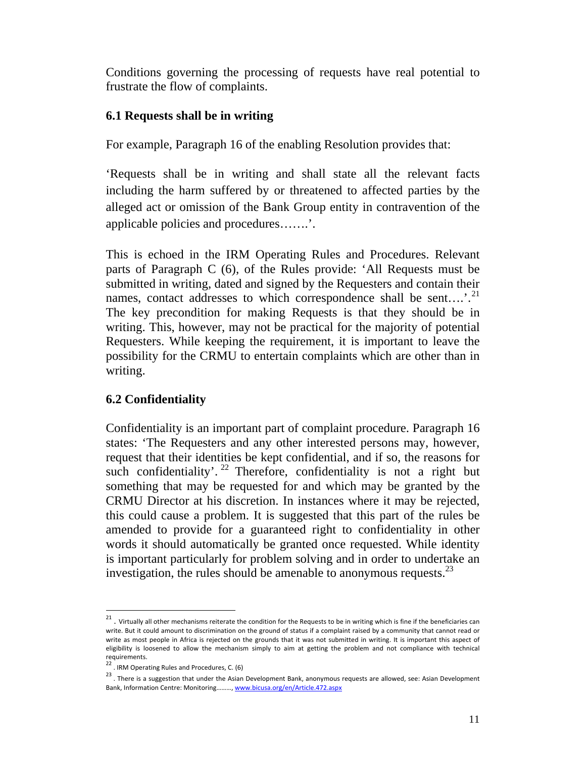Conditions governing the processing of requests have real potential to frustrate the flow of complaints.

## **6.1 Requests shall be in writing**

For example, Paragraph 16 of the enabling Resolution provides that:

'Requests shall be in writing and shall state all the relevant facts including the harm suffered by or threatened to affected parties by the alleged act or omission of the Bank Group entity in contravention of the applicable policies and procedures…….'.

This is echoed in the IRM Operating Rules and Procedures. Relevant parts of Paragraph C (6), of the Rules provide: 'All Requests must be submitted in writing, dated and signed by the Requesters and contain their names, contact addresses to which correspondence shall be sent....'.<sup>21</sup> The key precondition for making Requests is that they should be in writing. This, however, may not be practical for the majority of potential Requesters. While keeping the requirement, it is important to leave the possibility for the CRMU to entertain complaints which are other than in writing.

# **6.2 Confidentiality**

Confidentiality is an important part of complaint procedure. Paragraph 16 states: 'The Requesters and any other interested persons may, however, request that their identities be kept confidential, and if so, the reasons for such confidentiality'. <sup>22</sup> Therefore, confidentiality is not a right but something that may be requested for and which may be granted by the CRMU Director at his discretion. In instances where it may be rejected, this could cause a problem. It is suggested that this part of the rules be amended to provide for a guaranteed right to confidentiality in other words it should automatically be granted once requested. While identity is important particularly for problem solving and in order to undertake an investigation, the rules should be amenable to anonymous requests. $^{23}$ 

 $^{21}$  . Virtually all other mechanisms reiterate the condition for the Requests to be in writing which is fine if the beneficiaries can write. But it could amount to discrimination on the ground of status if a complaint raised by a community that cannot read or write as most people in Africa is rejected on the grounds that it was not submitted in writing. It is important this aspect of eligibility is loosened to allow the mechanism simply to aim at getting the problem and not compliance with technical requirements.

 $22$ . IRM Operating Rules and Procedures, C. (6)

<sup>23</sup> . There is <sup>a</sup> suggestion that under the Asian Development Bank, anonymous requests are allowed, see: Asian Development Bank, Information Centre: Monitoring………, www.bicusa.org/en/Article.472.aspx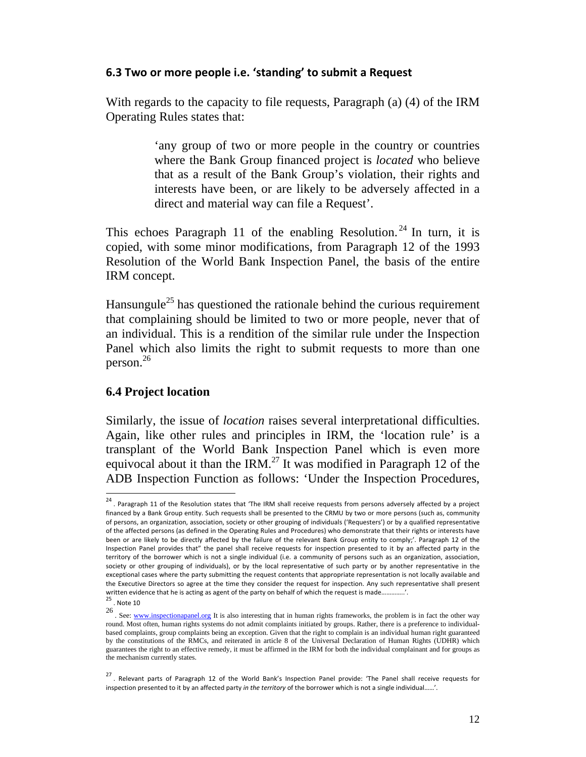#### **6.3 Two or more people i.e. 'standing' to submit a Request**

With regards to the capacity to file requests, Paragraph (a) (4) of the IRM Operating Rules states that:

> 'any group of two or more people in the country or countries where the Bank Group financed project is *located* who believe that as a result of the Bank Group's violation, their rights and interests have been, or are likely to be adversely affected in a direct and material way can file a Request'.

This echoes Paragraph 11 of the enabling Resolution.<sup>24</sup> In turn, it is copied, with some minor modifications, from Paragraph 12 of the 1993 Resolution of the World Bank Inspection Panel, the basis of the entire IRM concept.

Hansungule<sup>25</sup> has questioned the rationale behind the curious requirement that complaining should be limited to two or more people, never that of an individual. This is a rendition of the similar rule under the Inspection Panel which also limits the right to submit requests to more than one person.26

#### **6.4 Project location**

Similarly, the issue of *location* raises several interpretational difficulties. Again, like other rules and principles in IRM, the 'location rule' is a transplant of the World Bank Inspection Panel which is even more equivocal about it than the IRM.<sup>27</sup> It was modified in Paragraph 12 of the ADB Inspection Function as follows: 'Under the Inspection Procedures,

 $\overline{\phantom{a}}$ 

<sup>&</sup>lt;sup>24</sup>. Paragraph 11 of the Resolution states that 'The IRM shall receive requests from persons adversely affected by a project financed by a Bank Group entity. Such requests shall be presented to the CRMU by two or more persons (such as, community of persons, an organization, association, society or other grouping of individuals ('Requesters') or by a qualified representative of the affected persons (as defined in the Operating Rules and Procedures) who demonstrate that their rights or interests have been or are likely to be directly affected by the failure of the relevant Bank Group entity to comply;'. Paragraph 12 of the Inspection Panel provides that" the panel shall receive requests for inspection presented to it by an affected party in the territory of the borrower which is not a single individual (i.e. a community of persons such as an organization, association, society or other grouping of individuals), or by the local representative of such party or by another representative in the exceptional cases where the party submitting the request contents that appropriate representation is not locally available and the Executive Directors so agree at the time they consider the request for inspection. Any such representative shall present written evidence that he is acting as agent of the party on behalf of which the request is made...<br><sup>25</sup> . Note 10

<sup>26.</sup> See: www.inspectionapanel.org It is also interesting that in human rights frameworks, the problem is in fact the other way round. Most often, human rights systems do not admit complaints initiated by groups. Rather, there is a preference to individualbased complaints, group complaints being an exception. Given that the right to complain is an individual human right guaranteed by the constitutions of the RMCs, and reiterated in article 8 of the Universal Declaration of Human Rights (UDHR) which guarantees the right to an effective remedy, it must be affirmed in the IRM for both the individual complainant and for groups as the mechanism currently states.

<sup>&</sup>lt;sup>27</sup>. Relevant parts of Paragraph 12 of the World Bank's Inspection Panel provide: 'The Panel shall receive requests for inspection presented to it by an affected party *in the territory* of the borrower which is not a single individual……'.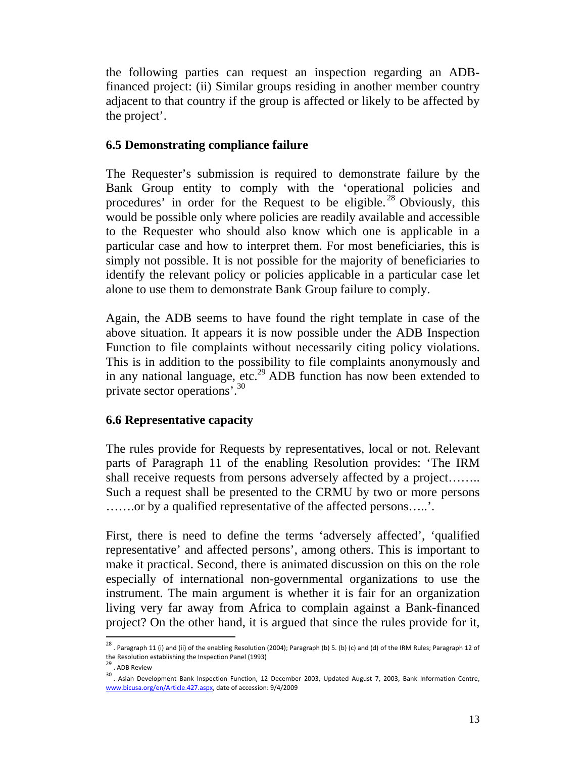the following parties can request an inspection regarding an ADBfinanced project: (ii) Similar groups residing in another member country adjacent to that country if the group is affected or likely to be affected by the project'.

#### **6.5 Demonstrating compliance failure**

The Requester's submission is required to demonstrate failure by the Bank Group entity to comply with the 'operational policies and procedures' in order for the Request to be eligible.<sup>28</sup> Obviously, this would be possible only where policies are readily available and accessible to the Requester who should also know which one is applicable in a particular case and how to interpret them. For most beneficiaries, this is simply not possible. It is not possible for the majority of beneficiaries to identify the relevant policy or policies applicable in a particular case let alone to use them to demonstrate Bank Group failure to comply.

Again, the ADB seems to have found the right template in case of the above situation. It appears it is now possible under the ADB Inspection Function to file complaints without necessarily citing policy violations. This is in addition to the possibility to file complaints anonymously and in any national language, etc.<sup>29</sup> ADB function has now been extended to private sector operations'.30

## **6.6 Representative capacity**

The rules provide for Requests by representatives, local or not. Relevant parts of Paragraph 11 of the enabling Resolution provides: 'The IRM shall receive requests from persons adversely affected by a project…….. Such a request shall be presented to the CRMU by two or more persons …….or by a qualified representative of the affected persons…..'.

First, there is need to define the terms 'adversely affected', 'qualified representative' and affected persons', among others. This is important to make it practical. Second, there is animated discussion on this on the role especially of international non-governmental organizations to use the instrument. The main argument is whether it is fair for an organization living very far away from Africa to complain against a Bank-financed project? On the other hand, it is argued that since the rules provide for it,

 $\overline{\phantom{a}}$ 

<sup>&</sup>lt;sup>28</sup> . Paragraph 11 (i) and (ii) of the enabling Resolution (2004); Paragraph (b) 5. (b) (c) and (d) of the IRM Rules; Paragraph 12 of the Resolution establishing the Inspection Panel (1993)<br><sup>29</sup> . ADB Review

<sup>30</sup> . Asian Development Bank Inspection Function, <sup>12</sup> December 2003, Updated August 7, 2003, Bank Information Centre, www.bicusa.org/en/Article.427.aspx, date of accession: 9/4/2009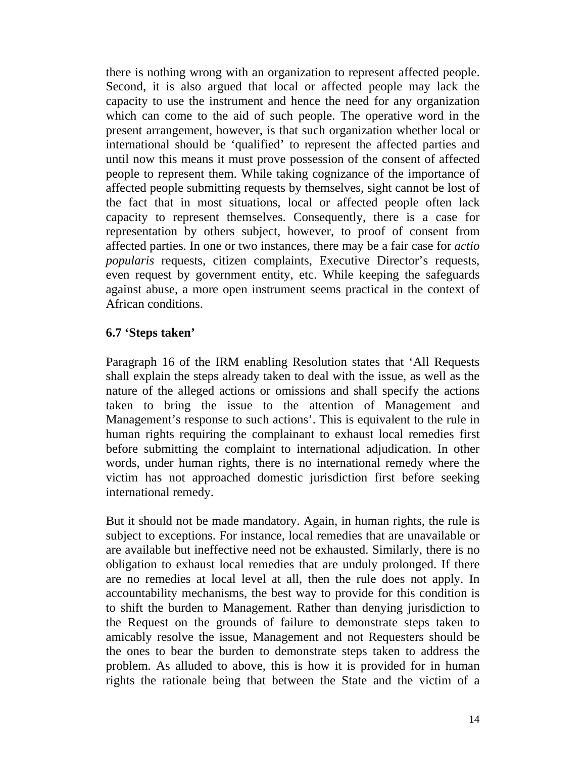there is nothing wrong with an organization to represent affected people. Second, it is also argued that local or affected people may lack the capacity to use the instrument and hence the need for any organization which can come to the aid of such people. The operative word in the present arrangement, however, is that such organization whether local or international should be 'qualified' to represent the affected parties and until now this means it must prove possession of the consent of affected people to represent them. While taking cognizance of the importance of affected people submitting requests by themselves, sight cannot be lost of the fact that in most situations, local or affected people often lack capacity to represent themselves. Consequently, there is a case for representation by others subject, however, to proof of consent from affected parties. In one or two instances, there may be a fair case for *actio popularis* requests, citizen complaints, Executive Director's requests, even request by government entity, etc. While keeping the safeguards against abuse, a more open instrument seems practical in the context of African conditions.

## **6.7 'Steps taken'**

Paragraph 16 of the IRM enabling Resolution states that 'All Requests shall explain the steps already taken to deal with the issue, as well as the nature of the alleged actions or omissions and shall specify the actions taken to bring the issue to the attention of Management and Management's response to such actions'. This is equivalent to the rule in human rights requiring the complainant to exhaust local remedies first before submitting the complaint to international adjudication. In other words, under human rights, there is no international remedy where the victim has not approached domestic jurisdiction first before seeking international remedy.

But it should not be made mandatory. Again, in human rights, the rule is subject to exceptions. For instance, local remedies that are unavailable or are available but ineffective need not be exhausted. Similarly, there is no obligation to exhaust local remedies that are unduly prolonged. If there are no remedies at local level at all, then the rule does not apply. In accountability mechanisms, the best way to provide for this condition is to shift the burden to Management. Rather than denying jurisdiction to the Request on the grounds of failure to demonstrate steps taken to amicably resolve the issue, Management and not Requesters should be the ones to bear the burden to demonstrate steps taken to address the problem. As alluded to above, this is how it is provided for in human rights the rationale being that between the State and the victim of a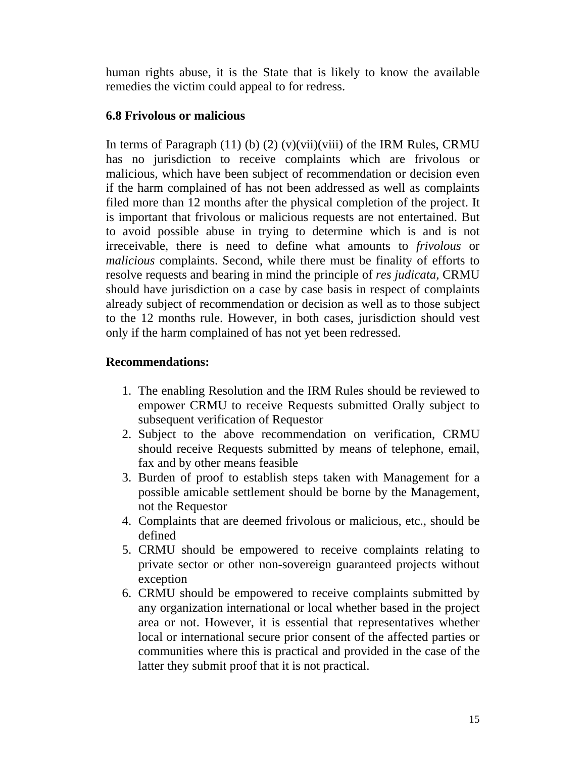human rights abuse, it is the State that is likely to know the available remedies the victim could appeal to for redress.

## **6.8 Frivolous or malicious**

In terms of Paragraph  $(11)$  (b)  $(2)$  (v)(vii)(viii) of the IRM Rules, CRMU has no jurisdiction to receive complaints which are frivolous or malicious, which have been subject of recommendation or decision even if the harm complained of has not been addressed as well as complaints filed more than 12 months after the physical completion of the project. It is important that frivolous or malicious requests are not entertained. But to avoid possible abuse in trying to determine which is and is not irreceivable, there is need to define what amounts to *frivolous* or *malicious* complaints. Second, while there must be finality of efforts to resolve requests and bearing in mind the principle of *res judicata,* CRMU should have jurisdiction on a case by case basis in respect of complaints already subject of recommendation or decision as well as to those subject to the 12 months rule. However, in both cases, jurisdiction should vest only if the harm complained of has not yet been redressed.

# **Recommendations:**

- 1. The enabling Resolution and the IRM Rules should be reviewed to empower CRMU to receive Requests submitted Orally subject to subsequent verification of Requestor
- 2. Subject to the above recommendation on verification, CRMU should receive Requests submitted by means of telephone, email, fax and by other means feasible
- 3. Burden of proof to establish steps taken with Management for a possible amicable settlement should be borne by the Management, not the Requestor
- 4. Complaints that are deemed frivolous or malicious, etc., should be defined
- 5. CRMU should be empowered to receive complaints relating to private sector or other non-sovereign guaranteed projects without exception
- 6. CRMU should be empowered to receive complaints submitted by any organization international or local whether based in the project area or not. However, it is essential that representatives whether local or international secure prior consent of the affected parties or communities where this is practical and provided in the case of the latter they submit proof that it is not practical.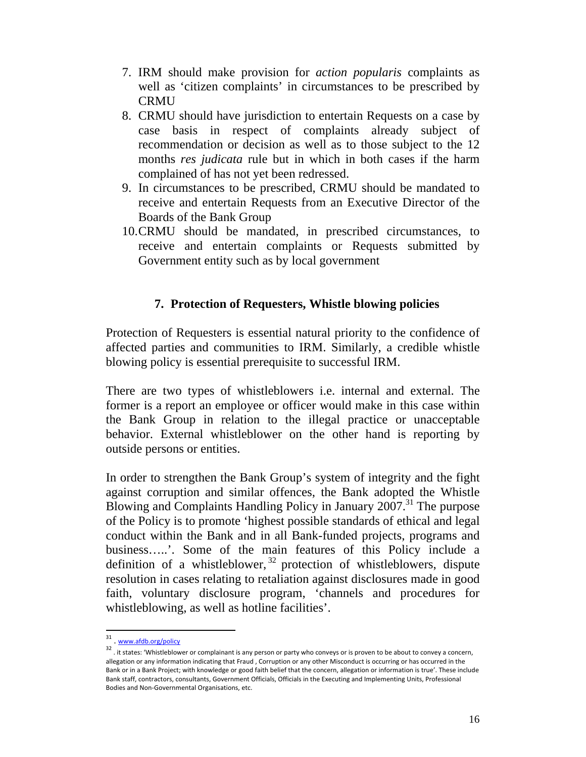- 7. IRM should make provision for *action popularis* complaints as well as 'citizen complaints' in circumstances to be prescribed by CRMU
- 8. CRMU should have jurisdiction to entertain Requests on a case by case basis in respect of complaints already subject of recommendation or decision as well as to those subject to the 12 months *res judicata* rule but in which in both cases if the harm complained of has not yet been redressed.
- 9. In circumstances to be prescribed, CRMU should be mandated to receive and entertain Requests from an Executive Director of the Boards of the Bank Group
- 10.CRMU should be mandated, in prescribed circumstances, to receive and entertain complaints or Requests submitted by Government entity such as by local government

## **7. Protection of Requesters, Whistle blowing policies**

Protection of Requesters is essential natural priority to the confidence of affected parties and communities to IRM. Similarly, a credible whistle blowing policy is essential prerequisite to successful IRM.

There are two types of whistleblowers i.e. internal and external. The former is a report an employee or officer would make in this case within the Bank Group in relation to the illegal practice or unacceptable behavior. External whistleblower on the other hand is reporting by outside persons or entities.

In order to strengthen the Bank Group's system of integrity and the fight against corruption and similar offences, the Bank adopted the Whistle Blowing and Complaints Handling Policy in January  $2007$ <sup>31</sup>. The purpose of the Policy is to promote 'highest possible standards of ethical and legal conduct within the Bank and in all Bank-funded projects, programs and business…..'. Some of the main features of this Policy include a definition of a whistleblower,<sup>32</sup> protection of whistleblowers, dispute resolution in cases relating to retaliation against disclosures made in good faith, voluntary disclosure program, 'channels and procedures for whistleblowing, as well as hotline facilities'.

<sup>&</sup>lt;sup>31</sup>. www.afdb.org/policy

<sup>32.</sup> it states: 'Whistleblower or complainant is any person or party who conveys or is proven to be about to convey a concern, allegation or any information indicating that Fraud , Corruption or any other Misconduct is occurring or has occurred in the Bank or in a Bank Project; with knowledge or good faith belief that the concern, allegation or information is true'. These include Bank staff, contractors, consultants, Government Officials, Officials in the Executing and Implementing Units, Professional Bodies and Non‐Governmental Organisations, etc.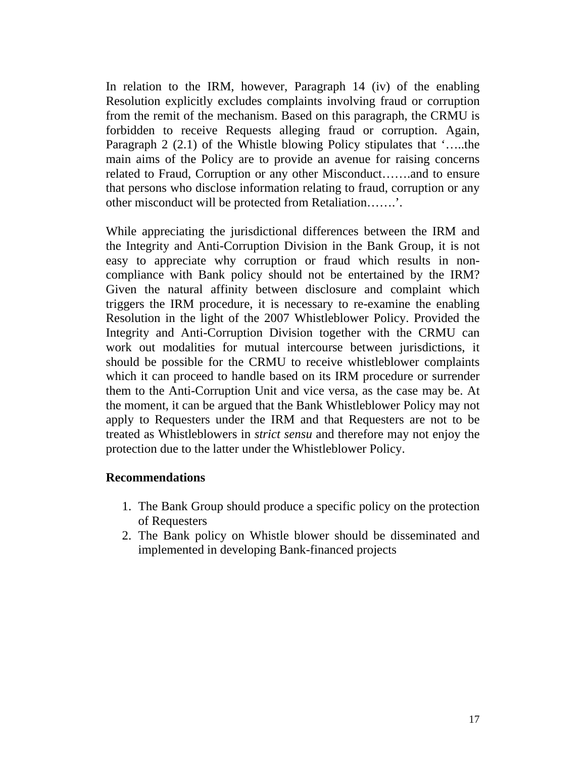In relation to the IRM, however, Paragraph 14 (iv) of the enabling Resolution explicitly excludes complaints involving fraud or corruption from the remit of the mechanism. Based on this paragraph, the CRMU is forbidden to receive Requests alleging fraud or corruption. Again, Paragraph 2 (2.1) of the Whistle blowing Policy stipulates that '…..the main aims of the Policy are to provide an avenue for raising concerns related to Fraud, Corruption or any other Misconduct…….and to ensure that persons who disclose information relating to fraud, corruption or any other misconduct will be protected from Retaliation…….'.

While appreciating the jurisdictional differences between the IRM and the Integrity and Anti-Corruption Division in the Bank Group, it is not easy to appreciate why corruption or fraud which results in noncompliance with Bank policy should not be entertained by the IRM? Given the natural affinity between disclosure and complaint which triggers the IRM procedure, it is necessary to re-examine the enabling Resolution in the light of the 2007 Whistleblower Policy. Provided the Integrity and Anti-Corruption Division together with the CRMU can work out modalities for mutual intercourse between jurisdictions, it should be possible for the CRMU to receive whistleblower complaints which it can proceed to handle based on its IRM procedure or surrender them to the Anti-Corruption Unit and vice versa, as the case may be. At the moment, it can be argued that the Bank Whistleblower Policy may not apply to Requesters under the IRM and that Requesters are not to be treated as Whistleblowers in *strict sensu* and therefore may not enjoy the protection due to the latter under the Whistleblower Policy.

#### **Recommendations**

- 1. The Bank Group should produce a specific policy on the protection of Requesters
- 2. The Bank policy on Whistle blower should be disseminated and implemented in developing Bank-financed projects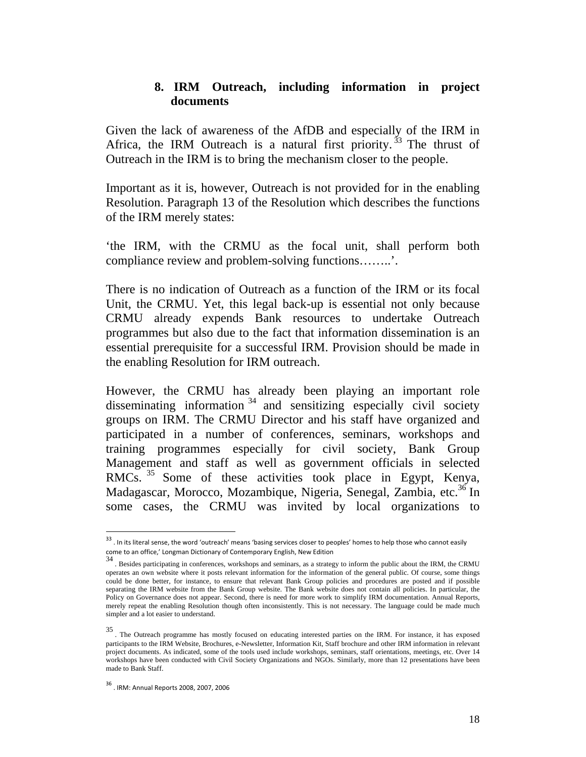#### **8. IRM Outreach, including information in project documents**

Given the lack of awareness of the AfDB and especially of the IRM in Africa, the IRM Outreach is a natural first priority.<sup>33</sup> The thrust of Outreach in the IRM is to bring the mechanism closer to the people.

Important as it is, however, Outreach is not provided for in the enabling Resolution. Paragraph 13 of the Resolution which describes the functions of the IRM merely states:

'the IRM, with the CRMU as the focal unit, shall perform both compliance review and problem-solving functions……..'.

There is no indication of Outreach as a function of the IRM or its focal Unit, the CRMU. Yet, this legal back-up is essential not only because CRMU already expends Bank resources to undertake Outreach programmes but also due to the fact that information dissemination is an essential prerequisite for a successful IRM. Provision should be made in the enabling Resolution for IRM outreach.

However, the CRMU has already been playing an important role disseminating information  $34$  and sensitizing especially civil society groups on IRM. The CRMU Director and his staff have organized and participated in a number of conferences, seminars, workshops and training programmes especially for civil society, Bank Group Management and staff as well as government officials in selected RMCs.<sup>35</sup> Some of these activities took place in Egypt, Kenya, Madagascar, Morocco, Mozambique, Nigeria, Senegal, Zambia, etc.<sup>36</sup> In some cases, the CRMU was invited by local organizations to

 $\overline{\phantom{a}}$ 

<sup>&</sup>lt;sup>33</sup> . In its literal sense, the word 'outreach' means 'basing services closer to peoples' homes to help those who cannot easily come to an office,' Longman Dictionary of Contemporary English, New Edition

<sup>34 .</sup> Besides participating in conferences, workshops and seminars, as a strategy to inform the public about the IRM, the CRMU operates an own website where it posts relevant information for the information of the general public. Of course, some things could be done better, for instance, to ensure that relevant Bank Group policies and procedures are posted and if possible separating the IRM website from the Bank Group website. The Bank website does not contain all policies. In particular, the Policy on Governance does not appear. Second, there is need for more work to simplify IRM documentation. Annual Reports, merely repeat the enabling Resolution though often inconsistently. This is not necessary. The language could be made much simpler and a lot easier to understand.

<sup>&</sup>lt;sup>35</sup>. The Outreach programme has mostly focused on educating interested parties on the IRM. For instance, it has exposed participants to the IRM Website, Brochures, e-Newsletter, Information Kit, Staff brochure and other IRM information in relevant project documents. As indicated, some of the tools used include workshops, seminars, staff orientations, meetings, etc. Over 14 workshops have been conducted with Civil Society Organizations and NGOs. Similarly, more than 12 presentations have been made to Bank Staff.

<sup>36</sup> . IRM: Annual Reports 2008, 2007, <sup>2006</sup>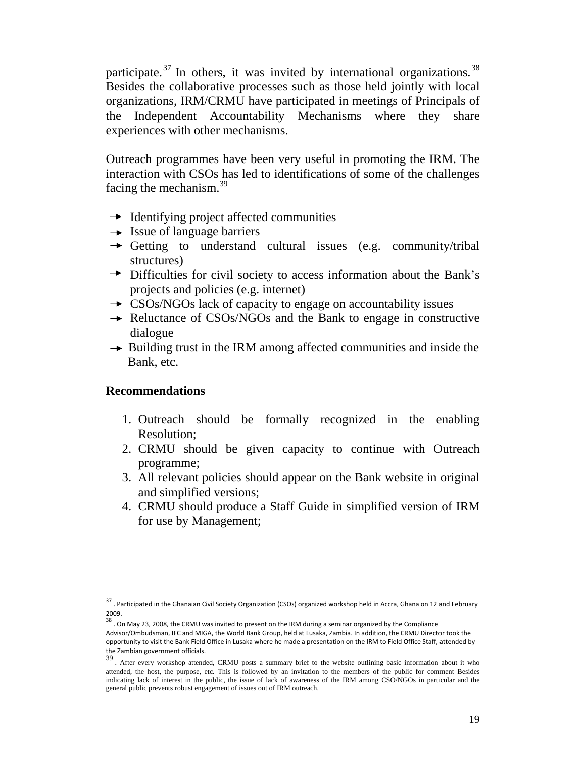participate.<sup>37</sup> In others, it was invited by international organizations.<sup>38</sup> Besides the collaborative processes such as those held jointly with local organizations, IRM/CRMU have participated in meetings of Principals of the Independent Accountability Mechanisms where they share experiences with other mechanisms.

Outreach programmes have been very useful in promoting the IRM. The interaction with CSOs has led to identifications of some of the challenges facing the mechanism. $^{39}$ 

- $\rightarrow$  Identifying project affected communities
- $\rightarrow$  Issue of language barriers
- $\rightarrow$  Getting to understand cultural issues (e.g. community/tribal structures)
- Difficulties for civil society to access information about the Bank's projects and policies (e.g. internet)
- $\rightarrow$  CSOs/NGOs lack of capacity to engage on accountability issues
- $\rightarrow$  Reluctance of CSOs/NGOs and the Bank to engage in constructive dialogue
- $\rightarrow$  Building trust in the IRM among affected communities and inside the Bank, etc.

#### **Recommendations**

- 1. Outreach should be formally recognized in the enabling Resolution;
- 2. CRMU should be given capacity to continue with Outreach programme;
- 3. All relevant policies should appear on the Bank website in original and simplified versions;
- 4. CRMU should produce a Staff Guide in simplified version of IRM for use by Management;

<sup>&</sup>lt;sup>37</sup> . Participated in the Ghanaian Civil Society Organization (CSOs) organized workshop held in Accra, Ghana on 12 and February 2009.<br> $38$ . On May 23, 2008, the CRMU was invited to present on the IRM during a seminar organized by the Compliance

Advisor/Ombudsman, IFC and MIGA, the World Bank Group, held at Lusaka, Zambia. In addition, the CRMU Director took the opportunity to visit the Bank Field Office in Lusaka where he made a presentation on the IRM to Field Office Staff, attended by<br>the Zambian government officials.

<sup>39 .</sup> After every workshop attended, CRMU posts a summary brief to the website outlining basic information about it who attended, the host, the purpose, etc. This is followed by an invitation to the members of the public for comment Besides indicating lack of interest in the public, the issue of lack of awareness of the IRM among CSO/NGOs in particular and the general public prevents robust engagement of issues out of IRM outreach.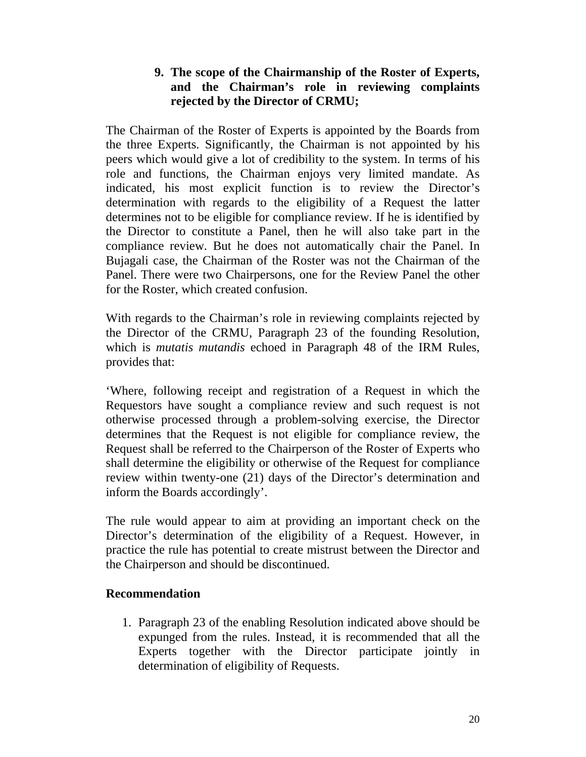# **9. The scope of the Chairmanship of the Roster of Experts, and the Chairman's role in reviewing complaints rejected by the Director of CRMU;**

The Chairman of the Roster of Experts is appointed by the Boards from the three Experts. Significantly, the Chairman is not appointed by his peers which would give a lot of credibility to the system. In terms of his role and functions, the Chairman enjoys very limited mandate. As indicated, his most explicit function is to review the Director's determination with regards to the eligibility of a Request the latter determines not to be eligible for compliance review. If he is identified by the Director to constitute a Panel, then he will also take part in the compliance review. But he does not automatically chair the Panel. In Bujagali case, the Chairman of the Roster was not the Chairman of the Panel. There were two Chairpersons, one for the Review Panel the other for the Roster, which created confusion.

With regards to the Chairman's role in reviewing complaints rejected by the Director of the CRMU, Paragraph 23 of the founding Resolution, which is *mutatis mutandis* echoed in Paragraph 48 of the IRM Rules, provides that:

'Where, following receipt and registration of a Request in which the Requestors have sought a compliance review and such request is not otherwise processed through a problem-solving exercise, the Director determines that the Request is not eligible for compliance review, the Request shall be referred to the Chairperson of the Roster of Experts who shall determine the eligibility or otherwise of the Request for compliance review within twenty-one (21) days of the Director's determination and inform the Boards accordingly'.

The rule would appear to aim at providing an important check on the Director's determination of the eligibility of a Request. However, in practice the rule has potential to create mistrust between the Director and the Chairperson and should be discontinued.

#### **Recommendation**

1. Paragraph 23 of the enabling Resolution indicated above should be expunged from the rules. Instead, it is recommended that all the Experts together with the Director participate jointly in determination of eligibility of Requests.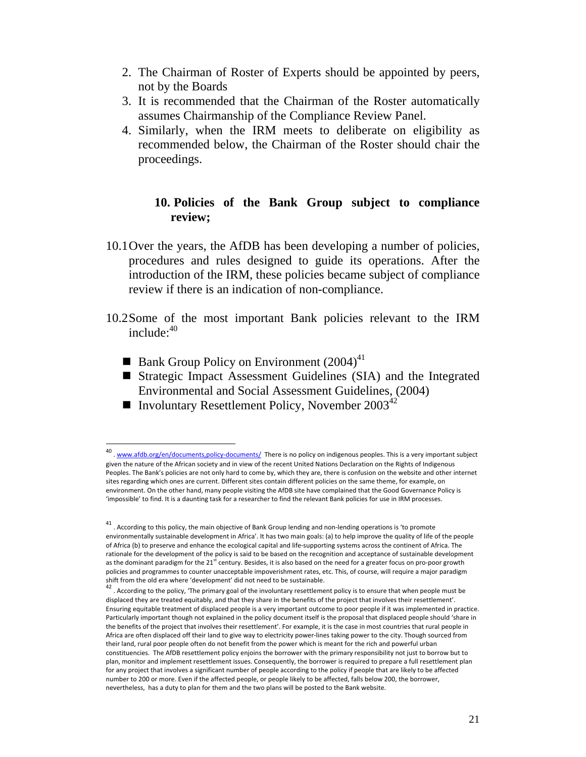- 2. The Chairman of Roster of Experts should be appointed by peers, not by the Boards
- 3. It is recommended that the Chairman of the Roster automatically assumes Chairmanship of the Compliance Review Panel.
- 4. Similarly, when the IRM meets to deliberate on eligibility as recommended below, the Chairman of the Roster should chair the proceedings.

#### **10. Policies of the Bank Group subject to compliance review;**

- 10.1Over the years, the AfDB has been developing a number of policies, procedures and rules designed to guide its operations. After the introduction of the IRM, these policies became subject of compliance review if there is an indication of non-compliance.
- 10.2Some of the most important Bank policies relevant to the IRM include: $40$ 
	- **Bank Group Policy on Environment (2004)**<sup>41</sup>

- Strategic Impact Assessment Guidelines (SIA) and the Integrated Environmental and Social Assessment Guidelines, (2004)
- Involuntary Resettlement Policy, November  $2003^{42}$

<sup>40 .</sup> www.afdb.org/en/documents.policy-documents/ There is no policy on indigenous peoples. This is a very important subject given the nature of the African society and in view of the recent United Nations Declaration on the Rights of Indigenous Peoples. The Bank's policies are not only hard to come by, which they are, there is confusion on the website and other internet sites regarding which ones are current. Different sites contain different policies on the same theme, for example, on environment. On the other hand, many people visiting the AfDB site have complained that the Good Governance Policy is 'impossible' to find. It is a daunting task for a researcher to find the relevant Bank policies for use in IRM processes.

 $^{41}$  . According to this policy, the main objective of Bank Group lending and non-lending operations is 'to promote environmentally sustainable development in Africa'. It has two main goals: (a) to help improve the quality of life of the people of Africa (b) to preserve and enhance the ecological capital and life‐supporting systems across the continent of Africa. The rationale for the development of the policy is said to be based on the recognition and acceptance of sustainable development as the dominant paradigm for the  $21^{st}$  century. Besides, it is also based on the need for a greater focus on pro-poor growth policies and programmes to counter unacceptable impoverishment rates, etc. This, of course, will require a major paradigm<br>shift from the old era where 'development' did not need to be sustainable.

 $42$ . According to the policy, 'The primary goal of the involuntary resettlement policy is to ensure that when people must be displaced they are treated equitably, and that they share in the benefits of the project that involves their resettlement'. Ensuring equitable treatment of displaced people is a very important outcome to poor people if it was implemented in practice. Particularly important though not explained in the policy document itself is the proposal that displaced people should 'share in the benefits of the project that involves their resettlement'. For example, it is the case in most countries that rural people in Africa are often displaced off their land to give way to electricity power‐lines taking power to the city. Though sourced from their land, rural poor people often do not benefit from the power which is meant for the rich and powerful urban constituencies. The AfDB resettlement policy enjoins the borrower with the primary responsibility not just to borrow but to plan, monitor and implement resettlement issues. Consequently, the borrower is required to prepare a full resettlement plan for any project that involves a significant number of people according to the policy if people that are likely to be affected number to 200 or more. Even if the affected people, or people likely to be affected, falls below 200, the borrower, nevertheless, has a duty to plan for them and the two plans will be posted to the Bank website.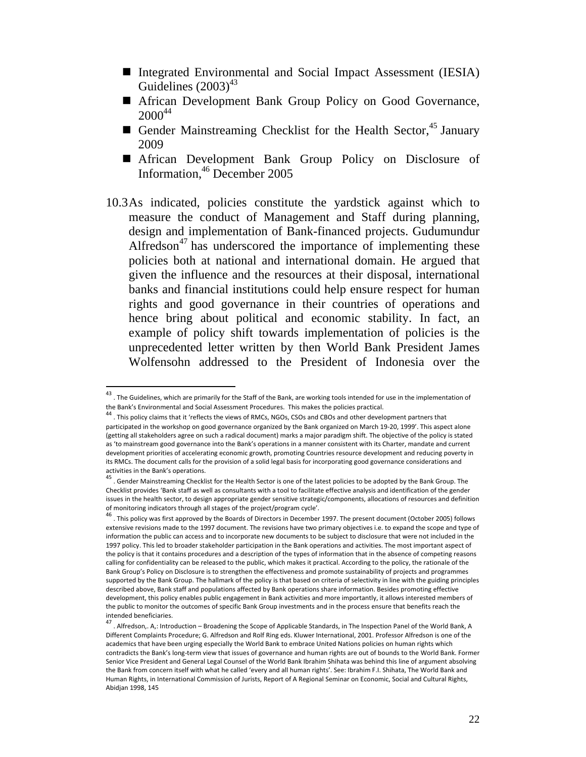- Integrated Environmental and Social Impact Assessment (IESIA) Guidelines  $(2003)^{43}$
- African Development Bank Group Policy on Good Governance,  $2000^{44}$
- Gender Mainstreaming Checklist for the Health Sector,  $45$  January 2009
- African Development Bank Group Policy on Disclosure of Information,46 December 2005
- 10.3As indicated, policies constitute the yardstick against which to measure the conduct of Management and Staff during planning, design and implementation of Bank-financed projects. Gudumundur Alfredson<sup> $47$ </sup> has underscored the importance of implementing these policies both at national and international domain. He argued that given the influence and the resources at their disposal, international banks and financial institutions could help ensure respect for human rights and good governance in their countries of operations and hence bring about political and economic stability. In fact, an example of policy shift towards implementation of policies is the unprecedented letter written by then World Bank President James Wolfensohn addressed to the President of Indonesia over the

<sup>&</sup>lt;sup>43</sup> . The Guidelines, which are primarily for the Staff of the Bank, are working tools intended for use in the implementation of the Bank's Environmental and Social Assessment Procedures. This makes the policies practical.<br><sup>44</sup> . This policy claims that it 'reflects the views of RMCs, NGOs, CSOs and CBOs and other development partners that

participated in the workshop on good governance organized by the Bank organized on March 19‐20, 1999'. This aspect alone (getting all stakeholders agree on such a radical document) marks a major paradigm shift. The objective of the policy is stated as 'to mainstream good governance into the Bank's operations in a manner consistent with its Charter, mandate and current development priorities of accelerating economic growth, promoting Countries resource development and reducing poverty in its RMCs. The document calls for the provision of a solid legal basis for incorporating good governance considerations and

activities in the Bank's operations.<br><sup>45</sup> . Gender Mainstreaming Checklist for the Health Sector is one of the latest policies to be adopted by the Bank Group. The Checklist provides 'Bank staff as well as consultants with a tool to facilitate effective analysis and identification of the gender issues in the health sector, to design appropriate gender sensitive strategic/components, allocations of resources and definition<br>of monitoring indicators through all stages of the project/program cycle'.

of monitoring indicators through all stages of the program control of the program cycle in December 1997. The present document (October 2005) follows  $^{46}$ . This policy was first approved by the Boards of Directors in Dec extensive revisions made to the 1997 document. The revisions have two primary objectives i.e. to expand the scope and type of information the public can access and to incorporate new documents to be subject to disclosure that were not included in the 1997 policy. This led to broader stakeholder participation in the Bank operations and activities. The most important aspect of the policy is that it contains procedures and a description of the types of information that in the absence of competing reasons calling for confidentiality can be released to the public, which makes it practical. According to the policy, the rationale of the Bank Group's Policy on Disclosure is to strengthen the effectiveness and promote sustainability of projects and programmes supported by the Bank Group. The hallmark of the policy is that based on criteria of selectivity in line with the guiding principles described above, Bank staff and populations affected by Bank operations share information. Besides promoting effective development, this policy enables public engagement in Bank activities and more importantly, it allows interested members of the public to monitor the outcomes of specific Bank Group investments and in the process ensure that benefits reach the<br>intended beneficiaries.

<sup>&</sup>lt;sup>47</sup>. Alfredson,. A,: Introduction – Broadening the Scope of Applicable Standards, in The Inspection Panel of the World Bank, A Different Complaints Procedure; G. Alfredson and Rolf Ring eds. Kluwer International, 2001. Professor Alfredson is one of the academics that have been urging especially the World Bank to embrace United Nations policies on human rights which contradicts the Bank's long‐term view that issues of governance and human rights are out of bounds to the World Bank. Former Senior Vice President and General Legal Counsel of the World Bank Ibrahim Shihata was behind this line of argument absolving the Bank from concern itself with what he called 'every and all human rights'. See: Ibrahim F.I. Shihata, The World Bank and Human Rights, in International Commission of Jurists, Report of A Regional Seminar on Economic, Social and Cultural Rights, Abidjan 1998, 145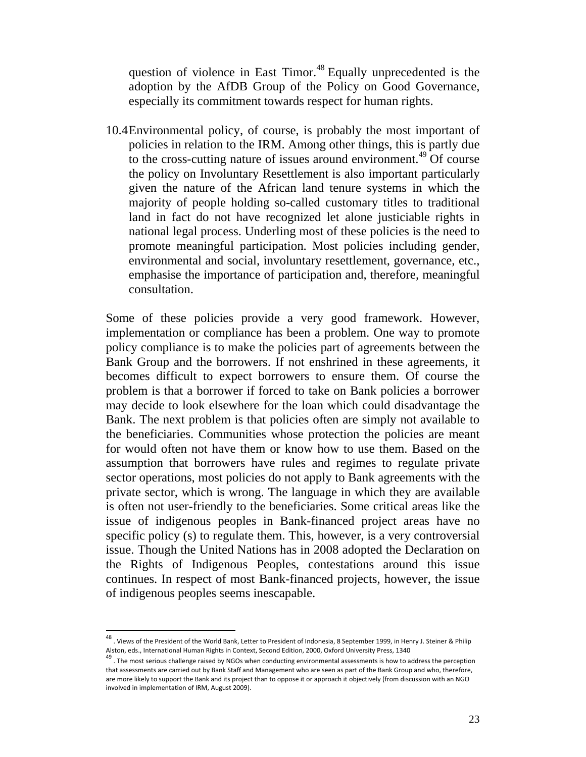question of violence in East Timor.<sup>48</sup> Equally unprecedented is the adoption by the AfDB Group of the Policy on Good Governance, especially its commitment towards respect for human rights.

10.4Environmental policy, of course, is probably the most important of policies in relation to the IRM. Among other things, this is partly due to the cross-cutting nature of issues around environment.<sup>49</sup> Of course the policy on Involuntary Resettlement is also important particularly given the nature of the African land tenure systems in which the majority of people holding so-called customary titles to traditional land in fact do not have recognized let alone justiciable rights in national legal process. Underling most of these policies is the need to promote meaningful participation. Most policies including gender, environmental and social, involuntary resettlement, governance, etc., emphasise the importance of participation and, therefore, meaningful consultation.

Some of these policies provide a very good framework. However, implementation or compliance has been a problem. One way to promote policy compliance is to make the policies part of agreements between the Bank Group and the borrowers. If not enshrined in these agreements, it becomes difficult to expect borrowers to ensure them. Of course the problem is that a borrower if forced to take on Bank policies a borrower may decide to look elsewhere for the loan which could disadvantage the Bank. The next problem is that policies often are simply not available to the beneficiaries. Communities whose protection the policies are meant for would often not have them or know how to use them. Based on the assumption that borrowers have rules and regimes to regulate private sector operations, most policies do not apply to Bank agreements with the private sector, which is wrong. The language in which they are available is often not user-friendly to the beneficiaries. Some critical areas like the issue of indigenous peoples in Bank-financed project areas have no specific policy (s) to regulate them. This, however, is a very controversial issue. Though the United Nations has in 2008 adopted the Declaration on the Rights of Indigenous Peoples, contestations around this issue continues. In respect of most Bank-financed projects, however, the issue of indigenous peoples seems inescapable.

<sup>48</sup> . Views of the President of the World Bank, Letter to President of Indonesia, <sup>8</sup> September 1999, in Henry J. Steiner & Philip

Alston, eds., International Human Rights in Context, Second Edition, 2000, Oxford University Press, 1340<br><sup>49</sup> . The most serious challenge raised by NGOs when conducting environmental assessments is how to address the perc that assessments are carried out by Bank Staff and Management who are seen as part of the Bank Group and who, therefore, are more likely to support the Bank and its project than to oppose it or approach it objectively (from discussion with an NGO involved in implementation of IRM, August 2009).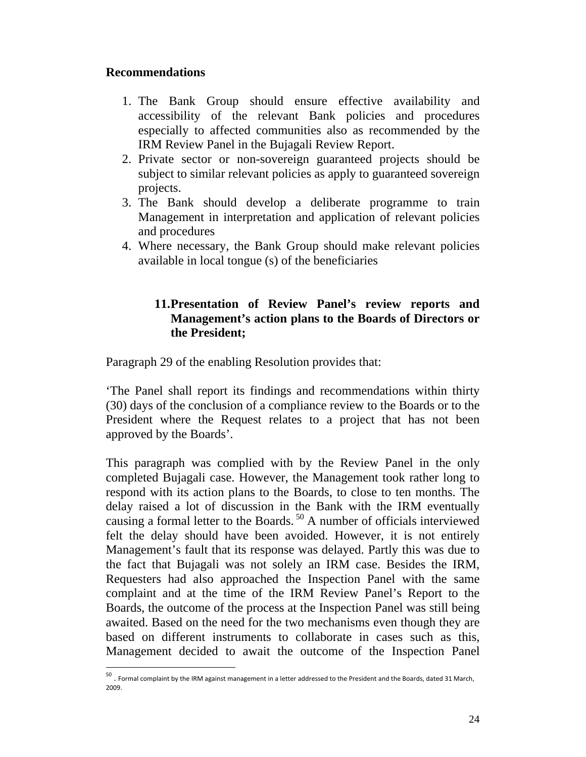#### **Recommendations**

 $\overline{a}$ 

- 1. The Bank Group should ensure effective availability and accessibility of the relevant Bank policies and procedures especially to affected communities also as recommended by the IRM Review Panel in the Bujagali Review Report.
- 2. Private sector or non-sovereign guaranteed projects should be subject to similar relevant policies as apply to guaranteed sovereign projects.
- 3. The Bank should develop a deliberate programme to train Management in interpretation and application of relevant policies and procedures
- 4. Where necessary, the Bank Group should make relevant policies available in local tongue (s) of the beneficiaries

# **11.Presentation of Review Panel's review reports and Management's action plans to the Boards of Directors or the President;**

Paragraph 29 of the enabling Resolution provides that:

'The Panel shall report its findings and recommendations within thirty (30) days of the conclusion of a compliance review to the Boards or to the President where the Request relates to a project that has not been approved by the Boards'.

This paragraph was complied with by the Review Panel in the only completed Bujagali case. However, the Management took rather long to respond with its action plans to the Boards, to close to ten months. The delay raised a lot of discussion in the Bank with the IRM eventually causing a formal letter to the Boards.<sup>50</sup> A number of officials interviewed felt the delay should have been avoided. However, it is not entirely Management's fault that its response was delayed. Partly this was due to the fact that Bujagali was not solely an IRM case. Besides the IRM, Requesters had also approached the Inspection Panel with the same complaint and at the time of the IRM Review Panel's Report to the Boards, the outcome of the process at the Inspection Panel was still being awaited. Based on the need for the two mechanisms even though they are based on different instruments to collaborate in cases such as this, Management decided to await the outcome of the Inspection Panel

<sup>50</sup> . Formal complaint by the IRM against management in <sup>a</sup> letter addressed to the President and the Boards, dated <sup>31</sup> March, 2009.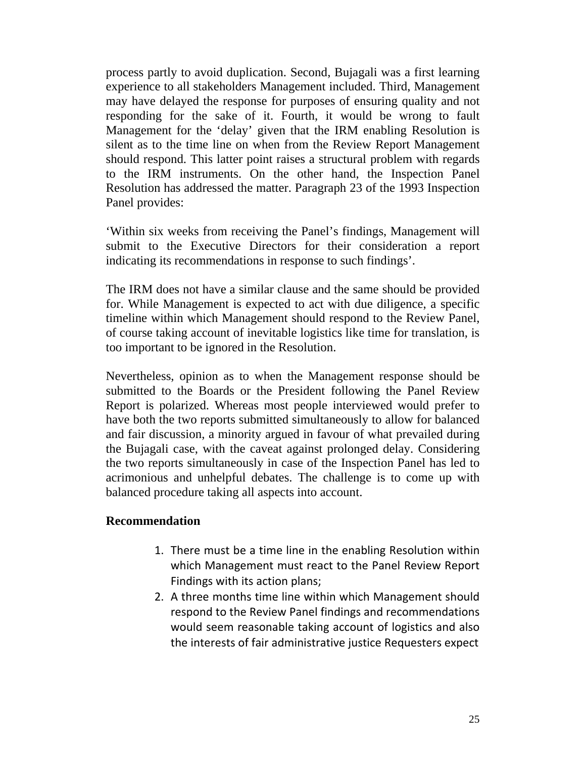process partly to avoid duplication. Second, Bujagali was a first learning experience to all stakeholders Management included. Third, Management may have delayed the response for purposes of ensuring quality and not responding for the sake of it. Fourth, it would be wrong to fault Management for the 'delay' given that the IRM enabling Resolution is silent as to the time line on when from the Review Report Management should respond. This latter point raises a structural problem with regards to the IRM instruments. On the other hand, the Inspection Panel Resolution has addressed the matter. Paragraph 23 of the 1993 Inspection Panel provides:

'Within six weeks from receiving the Panel's findings, Management will submit to the Executive Directors for their consideration a report indicating its recommendations in response to such findings'.

The IRM does not have a similar clause and the same should be provided for. While Management is expected to act with due diligence, a specific timeline within which Management should respond to the Review Panel, of course taking account of inevitable logistics like time for translation, is too important to be ignored in the Resolution.

Nevertheless, opinion as to when the Management response should be submitted to the Boards or the President following the Panel Review Report is polarized. Whereas most people interviewed would prefer to have both the two reports submitted simultaneously to allow for balanced and fair discussion, a minority argued in favour of what prevailed during the Bujagali case, with the caveat against prolonged delay. Considering the two reports simultaneously in case of the Inspection Panel has led to acrimonious and unhelpful debates. The challenge is to come up with balanced procedure taking all aspects into account.

#### **Recommendation**

- 1. There must be a time line in the enabling Resolution within which Management must react to the Panel Review Report Findings with its action plans;
- 2. A three months time line within which Management should respond to the Review Panel findings and recommendations would seem reasonable taking account of logistics and also the interests of fair administrative justice Requesters expect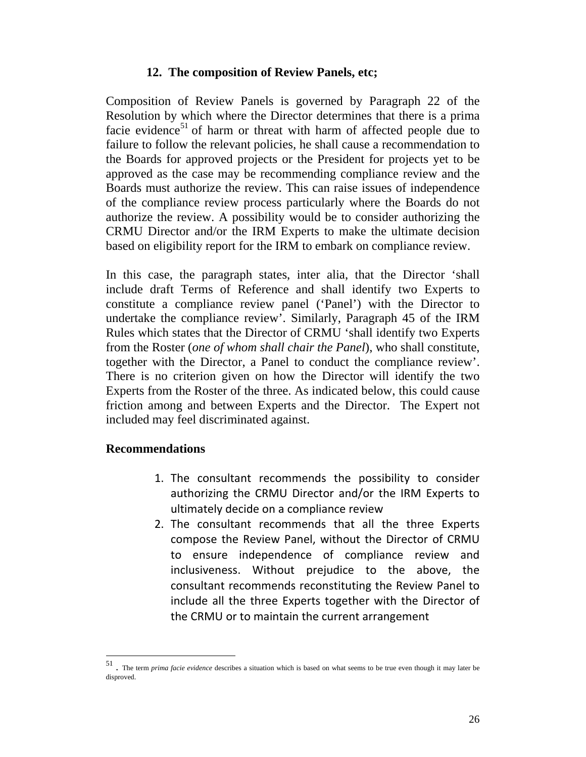#### **12. The composition of Review Panels, etc;**

Composition of Review Panels is governed by Paragraph 22 of the Resolution by which where the Director determines that there is a prima facie evidence<sup>51</sup> of harm or threat with harm of affected people due to failure to follow the relevant policies, he shall cause a recommendation to the Boards for approved projects or the President for projects yet to be approved as the case may be recommending compliance review and the Boards must authorize the review. This can raise issues of independence of the compliance review process particularly where the Boards do not authorize the review. A possibility would be to consider authorizing the CRMU Director and/or the IRM Experts to make the ultimate decision based on eligibility report for the IRM to embark on compliance review.

In this case, the paragraph states, inter alia, that the Director 'shall include draft Terms of Reference and shall identify two Experts to constitute a compliance review panel ('Panel') with the Director to undertake the compliance review'. Similarly, Paragraph 45 of the IRM Rules which states that the Director of CRMU 'shall identify two Experts from the Roster (*one of whom shall chair the Panel*), who shall constitute, together with the Director, a Panel to conduct the compliance review'. There is no criterion given on how the Director will identify the two Experts from the Roster of the three. As indicated below, this could cause friction among and between Experts and the Director. The Expert not included may feel discriminated against.

#### **Recommendations**

- 1. The consultant recommends the possibility to consider authorizing the CRMU Director and/or the IRM Experts to ultimately decide on a compliance review
- 2. The consultant recommends that all the three Experts compose the Review Panel, without the Director of CRMU to ensure independence of compliance review and inclusiveness. Without prejudice to the above, the consultant recommends reconstituting the Review Panel to include all the three Experts together with the Director of the CRMU or to maintain the current arrangement

<sup>51 .</sup> The term *prima facie evidence* describes a situation which is based on what seems to be true even though it may later be disproved.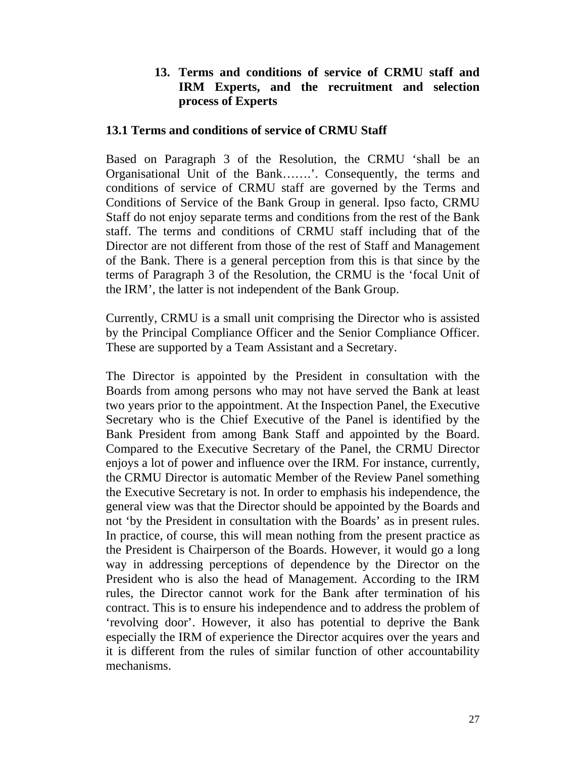## **13. Terms and conditions of service of CRMU staff and IRM Experts, and the recruitment and selection process of Experts**

#### **13.1 Terms and conditions of service of CRMU Staff**

Based on Paragraph 3 of the Resolution, the CRMU 'shall be an Organisational Unit of the Bank…….'. Consequently, the terms and conditions of service of CRMU staff are governed by the Terms and Conditions of Service of the Bank Group in general. Ipso facto, CRMU Staff do not enjoy separate terms and conditions from the rest of the Bank staff. The terms and conditions of CRMU staff including that of the Director are not different from those of the rest of Staff and Management of the Bank. There is a general perception from this is that since by the terms of Paragraph 3 of the Resolution, the CRMU is the 'focal Unit of the IRM', the latter is not independent of the Bank Group.

Currently, CRMU is a small unit comprising the Director who is assisted by the Principal Compliance Officer and the Senior Compliance Officer. These are supported by a Team Assistant and a Secretary.

The Director is appointed by the President in consultation with the Boards from among persons who may not have served the Bank at least two years prior to the appointment. At the Inspection Panel, the Executive Secretary who is the Chief Executive of the Panel is identified by the Bank President from among Bank Staff and appointed by the Board. Compared to the Executive Secretary of the Panel, the CRMU Director enjoys a lot of power and influence over the IRM. For instance, currently, the CRMU Director is automatic Member of the Review Panel something the Executive Secretary is not. In order to emphasis his independence, the general view was that the Director should be appointed by the Boards and not 'by the President in consultation with the Boards' as in present rules. In practice, of course, this will mean nothing from the present practice as the President is Chairperson of the Boards. However, it would go a long way in addressing perceptions of dependence by the Director on the President who is also the head of Management. According to the IRM rules, the Director cannot work for the Bank after termination of his contract. This is to ensure his independence and to address the problem of 'revolving door'. However, it also has potential to deprive the Bank especially the IRM of experience the Director acquires over the years and it is different from the rules of similar function of other accountability mechanisms.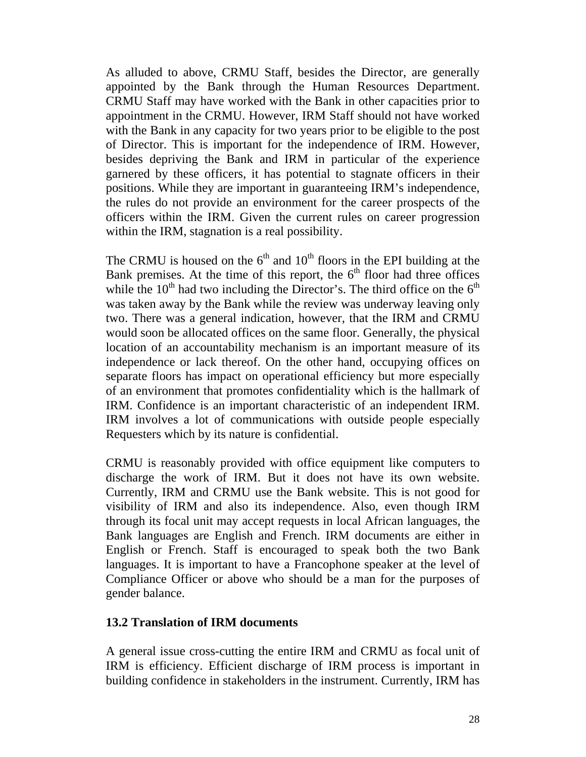As alluded to above, CRMU Staff, besides the Director, are generally appointed by the Bank through the Human Resources Department. CRMU Staff may have worked with the Bank in other capacities prior to appointment in the CRMU. However, IRM Staff should not have worked with the Bank in any capacity for two years prior to be eligible to the post of Director. This is important for the independence of IRM. However, besides depriving the Bank and IRM in particular of the experience garnered by these officers, it has potential to stagnate officers in their positions. While they are important in guaranteeing IRM's independence, the rules do not provide an environment for the career prospects of the officers within the IRM. Given the current rules on career progression within the IRM, stagnation is a real possibility.

The CRMU is housed on the  $6<sup>th</sup>$  and  $10<sup>th</sup>$  floors in the EPI building at the Bank premises. At the time of this report, the  $6<sup>th</sup>$  floor had three offices while the  $10<sup>th</sup>$  had two including the Director's. The third office on the  $6<sup>th</sup>$ was taken away by the Bank while the review was underway leaving only two. There was a general indication, however, that the IRM and CRMU would soon be allocated offices on the same floor. Generally, the physical location of an accountability mechanism is an important measure of its independence or lack thereof. On the other hand, occupying offices on separate floors has impact on operational efficiency but more especially of an environment that promotes confidentiality which is the hallmark of IRM. Confidence is an important characteristic of an independent IRM. IRM involves a lot of communications with outside people especially Requesters which by its nature is confidential.

CRMU is reasonably provided with office equipment like computers to discharge the work of IRM. But it does not have its own website. Currently, IRM and CRMU use the Bank website. This is not good for visibility of IRM and also its independence. Also, even though IRM through its focal unit may accept requests in local African languages, the Bank languages are English and French. IRM documents are either in English or French. Staff is encouraged to speak both the two Bank languages. It is important to have a Francophone speaker at the level of Compliance Officer or above who should be a man for the purposes of gender balance.

#### **13.2 Translation of IRM documents**

A general issue cross-cutting the entire IRM and CRMU as focal unit of IRM is efficiency. Efficient discharge of IRM process is important in building confidence in stakeholders in the instrument. Currently, IRM has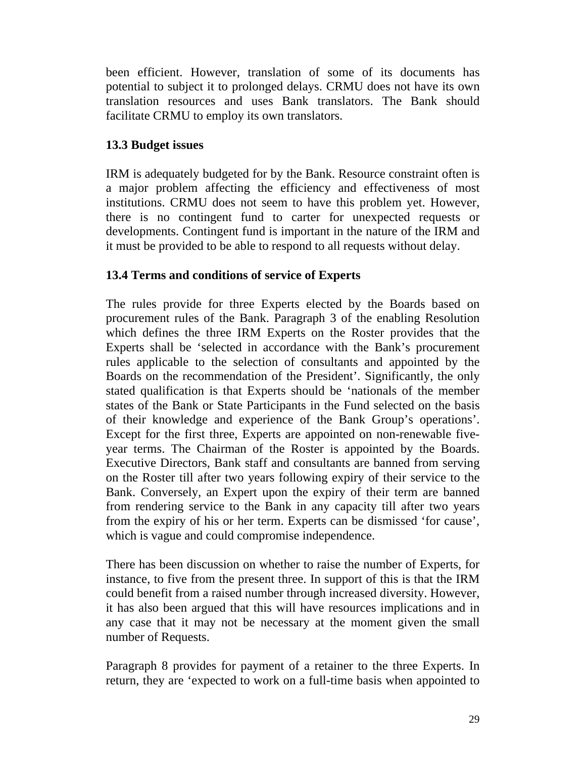been efficient. However, translation of some of its documents has potential to subject it to prolonged delays. CRMU does not have its own translation resources and uses Bank translators. The Bank should facilitate CRMU to employ its own translators.

# **13.3 Budget issues**

IRM is adequately budgeted for by the Bank. Resource constraint often is a major problem affecting the efficiency and effectiveness of most institutions. CRMU does not seem to have this problem yet. However, there is no contingent fund to carter for unexpected requests or developments. Contingent fund is important in the nature of the IRM and it must be provided to be able to respond to all requests without delay.

# **13.4 Terms and conditions of service of Experts**

The rules provide for three Experts elected by the Boards based on procurement rules of the Bank. Paragraph 3 of the enabling Resolution which defines the three IRM Experts on the Roster provides that the Experts shall be 'selected in accordance with the Bank's procurement rules applicable to the selection of consultants and appointed by the Boards on the recommendation of the President'. Significantly, the only stated qualification is that Experts should be 'nationals of the member states of the Bank or State Participants in the Fund selected on the basis of their knowledge and experience of the Bank Group's operations'. Except for the first three, Experts are appointed on non-renewable fiveyear terms. The Chairman of the Roster is appointed by the Boards. Executive Directors, Bank staff and consultants are banned from serving on the Roster till after two years following expiry of their service to the Bank. Conversely, an Expert upon the expiry of their term are banned from rendering service to the Bank in any capacity till after two years from the expiry of his or her term. Experts can be dismissed 'for cause', which is vague and could compromise independence.

There has been discussion on whether to raise the number of Experts, for instance, to five from the present three. In support of this is that the IRM could benefit from a raised number through increased diversity. However, it has also been argued that this will have resources implications and in any case that it may not be necessary at the moment given the small number of Requests.

Paragraph 8 provides for payment of a retainer to the three Experts. In return, they are 'expected to work on a full-time basis when appointed to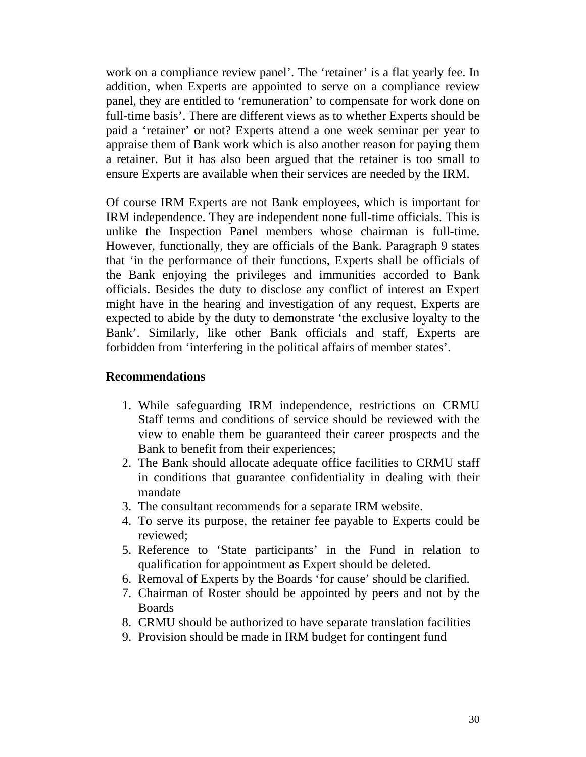work on a compliance review panel'. The 'retainer' is a flat yearly fee. In addition, when Experts are appointed to serve on a compliance review panel, they are entitled to 'remuneration' to compensate for work done on full-time basis'. There are different views as to whether Experts should be paid a 'retainer' or not? Experts attend a one week seminar per year to appraise them of Bank work which is also another reason for paying them a retainer. But it has also been argued that the retainer is too small to ensure Experts are available when their services are needed by the IRM.

Of course IRM Experts are not Bank employees, which is important for IRM independence. They are independent none full-time officials. This is unlike the Inspection Panel members whose chairman is full-time. However, functionally, they are officials of the Bank. Paragraph 9 states that 'in the performance of their functions, Experts shall be officials of the Bank enjoying the privileges and immunities accorded to Bank officials. Besides the duty to disclose any conflict of interest an Expert might have in the hearing and investigation of any request, Experts are expected to abide by the duty to demonstrate 'the exclusive loyalty to the Bank'. Similarly, like other Bank officials and staff, Experts are forbidden from 'interfering in the political affairs of member states'.

#### **Recommendations**

- 1. While safeguarding IRM independence, restrictions on CRMU Staff terms and conditions of service should be reviewed with the view to enable them be guaranteed their career prospects and the Bank to benefit from their experiences;
- 2. The Bank should allocate adequate office facilities to CRMU staff in conditions that guarantee confidentiality in dealing with their mandate
- 3. The consultant recommends for a separate IRM website.
- 4. To serve its purpose, the retainer fee payable to Experts could be reviewed;
- 5. Reference to 'State participants' in the Fund in relation to qualification for appointment as Expert should be deleted.
- 6. Removal of Experts by the Boards 'for cause' should be clarified.
- 7. Chairman of Roster should be appointed by peers and not by the Boards
- 8. CRMU should be authorized to have separate translation facilities
- 9. Provision should be made in IRM budget for contingent fund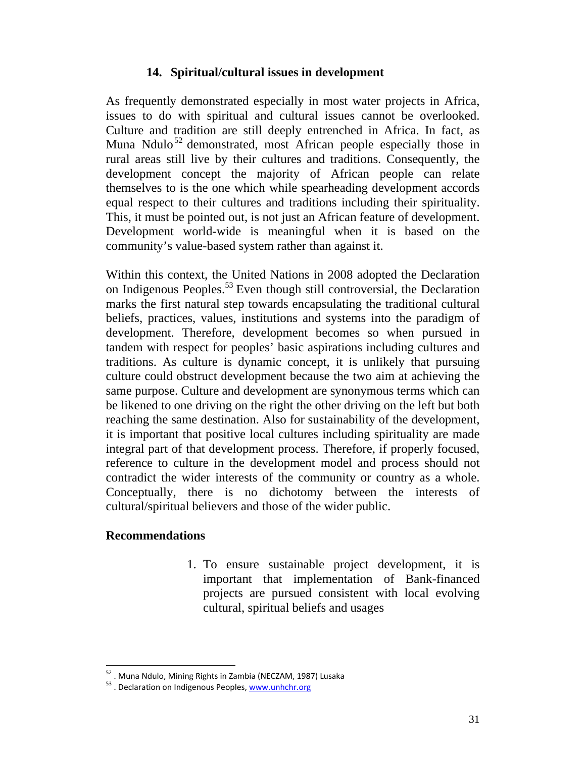# **14. Spiritual/cultural issues in development**

As frequently demonstrated especially in most water projects in Africa, issues to do with spiritual and cultural issues cannot be overlooked. Culture and tradition are still deeply entrenched in Africa. In fact, as Muna Ndulo<sup>52</sup> demonstrated, most African people especially those in rural areas still live by their cultures and traditions. Consequently, the development concept the majority of African people can relate themselves to is the one which while spearheading development accords equal respect to their cultures and traditions including their spirituality. This, it must be pointed out, is not just an African feature of development. Development world-wide is meaningful when it is based on the community's value-based system rather than against it.

Within this context, the United Nations in 2008 adopted the Declaration on Indigenous Peoples.<sup>53</sup> Even though still controversial, the Declaration marks the first natural step towards encapsulating the traditional cultural beliefs, practices, values, institutions and systems into the paradigm of development. Therefore, development becomes so when pursued in tandem with respect for peoples' basic aspirations including cultures and traditions. As culture is dynamic concept, it is unlikely that pursuing culture could obstruct development because the two aim at achieving the same purpose. Culture and development are synonymous terms which can be likened to one driving on the right the other driving on the left but both reaching the same destination. Also for sustainability of the development, it is important that positive local cultures including spirituality are made integral part of that development process. Therefore, if properly focused, reference to culture in the development model and process should not contradict the wider interests of the community or country as a whole. Conceptually, there is no dichotomy between the interests of cultural/spiritual believers and those of the wider public.

## **Recommendations**

 $\overline{a}$ 

1. To ensure sustainable project development, it is important that implementation of Bank-financed projects are pursued consistent with local evolving cultural, spiritual beliefs and usages

<sup>&</sup>lt;sup>52</sup> . Muna Ndulo, Mining Rights in Zambia (NECZAM, 1987) Lusaka  $^{53}$ . Declaration on Indigenous Peoples, www.unhchr.org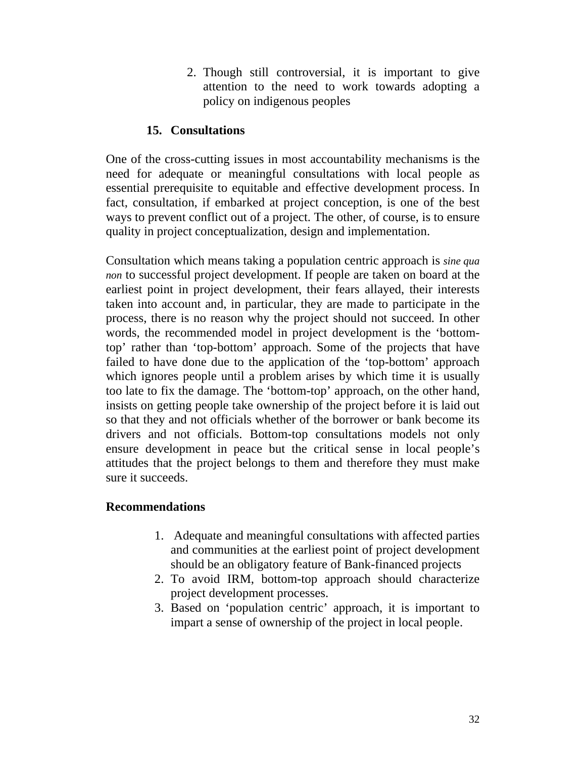2. Though still controversial, it is important to give attention to the need to work towards adopting a policy on indigenous peoples

# **15. Consultations**

One of the cross-cutting issues in most accountability mechanisms is the need for adequate or meaningful consultations with local people as essential prerequisite to equitable and effective development process. In fact, consultation, if embarked at project conception, is one of the best ways to prevent conflict out of a project. The other, of course, is to ensure quality in project conceptualization, design and implementation.

Consultation which means taking a population centric approach is *sine qua non* to successful project development. If people are taken on board at the earliest point in project development, their fears allayed, their interests taken into account and, in particular, they are made to participate in the process, there is no reason why the project should not succeed. In other words, the recommended model in project development is the 'bottomtop' rather than 'top-bottom' approach. Some of the projects that have failed to have done due to the application of the 'top-bottom' approach which ignores people until a problem arises by which time it is usually too late to fix the damage. The 'bottom-top' approach, on the other hand, insists on getting people take ownership of the project before it is laid out so that they and not officials whether of the borrower or bank become its drivers and not officials. Bottom-top consultations models not only ensure development in peace but the critical sense in local people's attitudes that the project belongs to them and therefore they must make sure it succeeds.

## **Recommendations**

- 1. Adequate and meaningful consultations with affected parties and communities at the earliest point of project development should be an obligatory feature of Bank-financed projects
- 2. To avoid IRM, bottom-top approach should characterize project development processes.
- 3. Based on 'population centric' approach, it is important to impart a sense of ownership of the project in local people.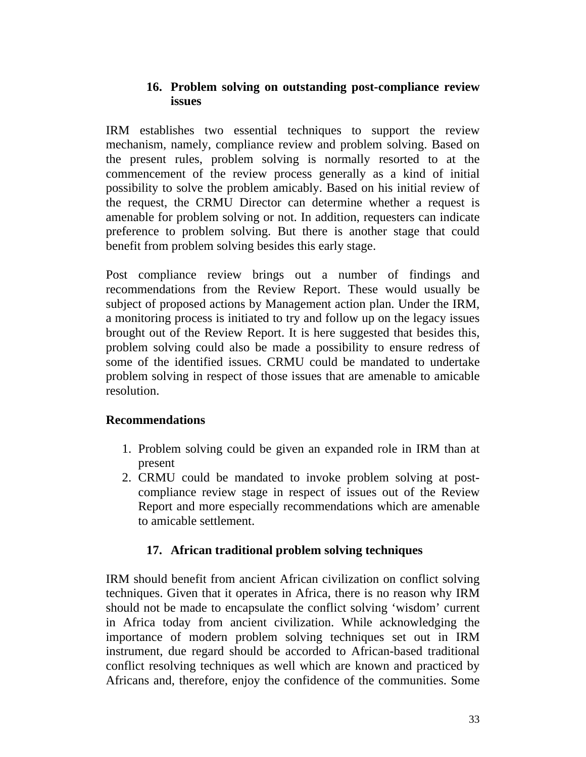# **16. Problem solving on outstanding post-compliance review issues**

IRM establishes two essential techniques to support the review mechanism, namely, compliance review and problem solving. Based on the present rules, problem solving is normally resorted to at the commencement of the review process generally as a kind of initial possibility to solve the problem amicably. Based on his initial review of the request, the CRMU Director can determine whether a request is amenable for problem solving or not. In addition, requesters can indicate preference to problem solving. But there is another stage that could benefit from problem solving besides this early stage.

Post compliance review brings out a number of findings and recommendations from the Review Report. These would usually be subject of proposed actions by Management action plan. Under the IRM, a monitoring process is initiated to try and follow up on the legacy issues brought out of the Review Report. It is here suggested that besides this, problem solving could also be made a possibility to ensure redress of some of the identified issues. CRMU could be mandated to undertake problem solving in respect of those issues that are amenable to amicable resolution.

# **Recommendations**

- 1. Problem solving could be given an expanded role in IRM than at present
- 2. CRMU could be mandated to invoke problem solving at postcompliance review stage in respect of issues out of the Review Report and more especially recommendations which are amenable to amicable settlement.

# **17. African traditional problem solving techniques**

IRM should benefit from ancient African civilization on conflict solving techniques. Given that it operates in Africa, there is no reason why IRM should not be made to encapsulate the conflict solving 'wisdom' current in Africa today from ancient civilization. While acknowledging the importance of modern problem solving techniques set out in IRM instrument, due regard should be accorded to African-based traditional conflict resolving techniques as well which are known and practiced by Africans and, therefore, enjoy the confidence of the communities. Some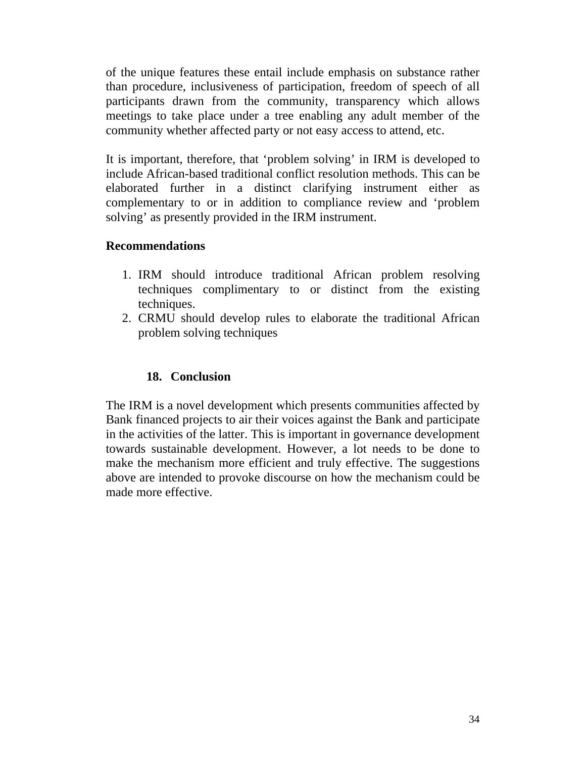of the unique features these entail include emphasis on substance rather than procedure, inclusiveness of participation, freedom of speech of all participants drawn from the community, transparency which allows meetings to take place under a tree enabling any adult member of the community whether affected party or not easy access to attend, etc.

It is important, therefore, that 'problem solving' in IRM is developed to include African-based traditional conflict resolution methods. This can be elaborated further in a distinct clarifying instrument either as complementary to or in addition to compliance review and 'problem solving' as presently provided in the IRM instrument.

## **Recommendations**

- 1. IRM should introduce traditional African problem resolving techniques complimentary to or distinct from the existing techniques.
- 2. CRMU should develop rules to elaborate the traditional African problem solving techniques

# **18. Conclusion**

The IRM is a novel development which presents communities affected by Bank financed projects to air their voices against the Bank and participate in the activities of the latter. This is important in governance development towards sustainable development. However, a lot needs to be done to make the mechanism more efficient and truly effective. The suggestions above are intended to provoke discourse on how the mechanism could be made more effective.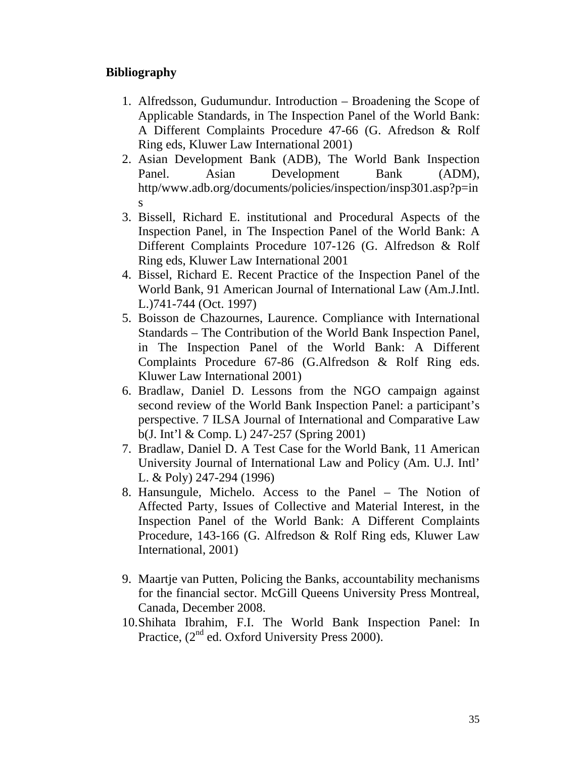# **Bibliography**

- 1. Alfredsson, Gudumundur. Introduction Broadening the Scope of Applicable Standards, in The Inspection Panel of the World Bank: A Different Complaints Procedure 47-66 (G. Afredson & Rolf Ring eds, Kluwer Law International 2001)
- 2. Asian Development Bank (ADB), The World Bank Inspection Panel. Asian Development Bank (ADM), http/www.adb.org/documents/policies/inspection/insp301.asp?p=in s
- 3. Bissell, Richard E. institutional and Procedural Aspects of the Inspection Panel, in The Inspection Panel of the World Bank: A Different Complaints Procedure 107-126 (G. Alfredson & Rolf Ring eds, Kluwer Law International 2001
- 4. Bissel, Richard E. Recent Practice of the Inspection Panel of the World Bank, 91 American Journal of International Law (Am.J.Intl. L.)741-744 (Oct. 1997)
- 5. Boisson de Chazournes, Laurence. Compliance with International Standards – The Contribution of the World Bank Inspection Panel, in The Inspection Panel of the World Bank: A Different Complaints Procedure 67-86 (G.Alfredson & Rolf Ring eds. Kluwer Law International 2001)
- 6. Bradlaw, Daniel D. Lessons from the NGO campaign against second review of the World Bank Inspection Panel: a participant's perspective. 7 ILSA Journal of International and Comparative Law b(J. Int'l & Comp. L) 247-257 (Spring 2001)
- 7. Bradlaw, Daniel D. A Test Case for the World Bank, 11 American University Journal of International Law and Policy (Am. U.J. Intl' L. & Poly) 247-294 (1996)
- 8. Hansungule, Michelo. Access to the Panel The Notion of Affected Party, Issues of Collective and Material Interest, in the Inspection Panel of the World Bank: A Different Complaints Procedure, 143-166 (G. Alfredson & Rolf Ring eds, Kluwer Law International, 2001)
- 9. Maartje van Putten, Policing the Banks, accountability mechanisms for the financial sector. McGill Queens University Press Montreal, Canada, December 2008.
- 10.Shihata Ibrahim, F.I. The World Bank Inspection Panel: In Practice, (2<sup>nd</sup> ed. Oxford University Press 2000).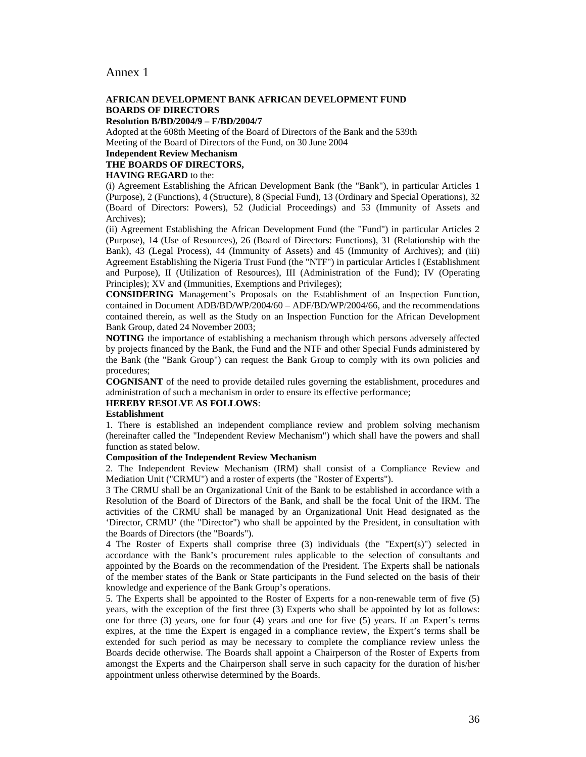#### Annex 1

#### **AFRICAN DEVELOPMENT BANK AFRICAN DEVELOPMENT FUND BOARDS OF DIRECTORS**

**Resolution B/BD/2004/9 – F/BD/2004/7** 

Adopted at the 608th Meeting of the Board of Directors of the Bank and the 539th Meeting of the Board of Directors of the Fund, on 30 June 2004

#### **Independent Review Mechanism**

#### **THE BOARDS OF DIRECTORS,**

#### **HAVING REGARD** to the:

(i) Agreement Establishing the African Development Bank (the "Bank"), in particular Articles 1 (Purpose), 2 (Functions), 4 (Structure), 8 (Special Fund), 13 (Ordinary and Special Operations), 32 (Board of Directors: Powers), 52 (Judicial Proceedings) and 53 (Immunity of Assets and Archives);

(ii) Agreement Establishing the African Development Fund (the "Fund") in particular Articles 2 (Purpose), 14 (Use of Resources), 26 (Board of Directors: Functions), 31 (Relationship with the Bank), 43 (Legal Process), 44 (Immunity of Assets) and 45 (Immunity of Archives); and (iii) Agreement Establishing the Nigeria Trust Fund (the "NTF") in particular Articles I (Establishment and Purpose), II (Utilization of Resources), III (Administration of the Fund); IV (Operating Principles); XV and (Immunities, Exemptions and Privileges);

**CONSIDERING** Management's Proposals on the Establishment of an Inspection Function, contained in Document ADB/BD/WP/2004/60 – ADF/BD/WP/2004/66, and the recommendations contained therein, as well as the Study on an Inspection Function for the African Development Bank Group, dated 24 November 2003;

**NOTING** the importance of establishing a mechanism through which persons adversely affected by projects financed by the Bank, the Fund and the NTF and other Special Funds administered by the Bank (the "Bank Group") can request the Bank Group to comply with its own policies and procedures;

**COGNISANT** of the need to provide detailed rules governing the establishment, procedures and administration of such a mechanism in order to ensure its effective performance;

#### **HEREBY RESOLVE AS FOLLOWS**:

#### **Establishment**

1. There is established an independent compliance review and problem solving mechanism (hereinafter called the "Independent Review Mechanism") which shall have the powers and shall function as stated below.

#### **Composition of the Independent Review Mechanism**

2. The Independent Review Mechanism (IRM) shall consist of a Compliance Review and Mediation Unit ("CRMU") and a roster of experts (the "Roster of Experts").

3 The CRMU shall be an Organizational Unit of the Bank to be established in accordance with a Resolution of the Board of Directors of the Bank, and shall be the focal Unit of the IRM. The activities of the CRMU shall be managed by an Organizational Unit Head designated as the 'Director, CRMU' (the "Director") who shall be appointed by the President, in consultation with the Boards of Directors (the "Boards").

4 The Roster of Experts shall comprise three (3) individuals (the "Expert(s)") selected in accordance with the Bank's procurement rules applicable to the selection of consultants and appointed by the Boards on the recommendation of the President. The Experts shall be nationals of the member states of the Bank or State participants in the Fund selected on the basis of their knowledge and experience of the Bank Group's operations.

5. The Experts shall be appointed to the Roster of Experts for a non-renewable term of five (5) years, with the exception of the first three (3) Experts who shall be appointed by lot as follows: one for three (3) years, one for four (4) years and one for five (5) years. If an Expert's terms expires, at the time the Expert is engaged in a compliance review, the Expert's terms shall be extended for such period as may be necessary to complete the compliance review unless the Boards decide otherwise. The Boards shall appoint a Chairperson of the Roster of Experts from amongst the Experts and the Chairperson shall serve in such capacity for the duration of his/her appointment unless otherwise determined by the Boards.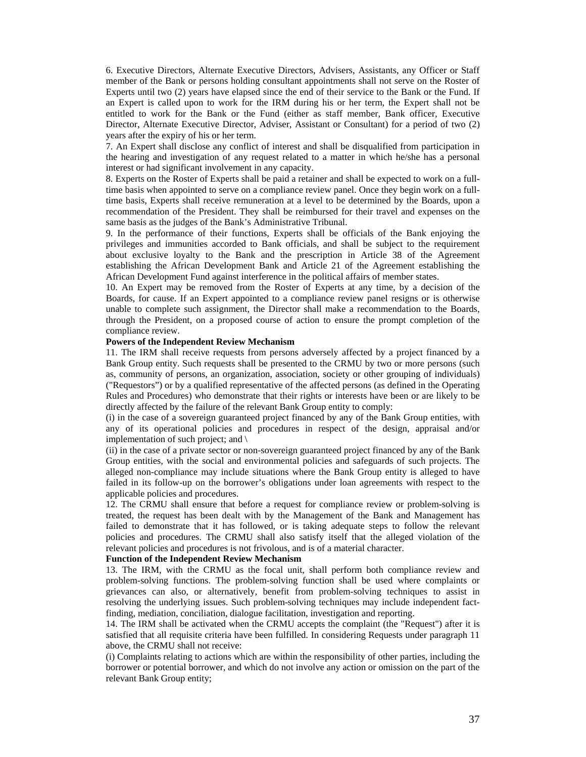6. Executive Directors, Alternate Executive Directors, Advisers, Assistants, any Officer or Staff member of the Bank or persons holding consultant appointments shall not serve on the Roster of Experts until two (2) years have elapsed since the end of their service to the Bank or the Fund. If an Expert is called upon to work for the IRM during his or her term, the Expert shall not be entitled to work for the Bank or the Fund (either as staff member, Bank officer, Executive Director, Alternate Executive Director, Adviser, Assistant or Consultant) for a period of two (2) years after the expiry of his or her term.

7. An Expert shall disclose any conflict of interest and shall be disqualified from participation in the hearing and investigation of any request related to a matter in which he/she has a personal interest or had significant involvement in any capacity.

8. Experts on the Roster of Experts shall be paid a retainer and shall be expected to work on a fulltime basis when appointed to serve on a compliance review panel. Once they begin work on a fulltime basis, Experts shall receive remuneration at a level to be determined by the Boards, upon a recommendation of the President. They shall be reimbursed for their travel and expenses on the same basis as the judges of the Bank's Administrative Tribunal.

9. In the performance of their functions, Experts shall be officials of the Bank enjoying the privileges and immunities accorded to Bank officials, and shall be subject to the requirement about exclusive loyalty to the Bank and the prescription in Article 38 of the Agreement establishing the African Development Bank and Article 21 of the Agreement establishing the African Development Fund against interference in the political affairs of member states.

10. An Expert may be removed from the Roster of Experts at any time, by a decision of the Boards, for cause. If an Expert appointed to a compliance review panel resigns or is otherwise unable to complete such assignment, the Director shall make a recommendation to the Boards, through the President, on a proposed course of action to ensure the prompt completion of the compliance review.

#### **Powers of the Independent Review Mechanism**

11. The IRM shall receive requests from persons adversely affected by a project financed by a Bank Group entity. Such requests shall be presented to the CRMU by two or more persons (such as, community of persons, an organization, association, society or other grouping of individuals) ("Requestors") or by a qualified representative of the affected persons (as defined in the Operating Rules and Procedures) who demonstrate that their rights or interests have been or are likely to be directly affected by the failure of the relevant Bank Group entity to comply:

(i) in the case of a sovereign guaranteed project financed by any of the Bank Group entities, with any of its operational policies and procedures in respect of the design, appraisal and/or implementation of such project; and \

(ii) in the case of a private sector or non-sovereign guaranteed project financed by any of the Bank Group entities, with the social and environmental policies and safeguards of such projects. The alleged non-compliance may include situations where the Bank Group entity is alleged to have failed in its follow-up on the borrower's obligations under loan agreements with respect to the applicable policies and procedures.

12. The CRMU shall ensure that before a request for compliance review or problem-solving is treated, the request has been dealt with by the Management of the Bank and Management has failed to demonstrate that it has followed, or is taking adequate steps to follow the relevant policies and procedures. The CRMU shall also satisfy itself that the alleged violation of the relevant policies and procedures is not frivolous, and is of a material character.

#### **Function of the Independent Review Mechanism**

13. The IRM, with the CRMU as the focal unit, shall perform both compliance review and problem-solving functions. The problem-solving function shall be used where complaints or grievances can also, or alternatively, benefit from problem-solving techniques to assist in resolving the underlying issues. Such problem-solving techniques may include independent factfinding, mediation, conciliation, dialogue facilitation, investigation and reporting.

14. The IRM shall be activated when the CRMU accepts the complaint (the "Request") after it is satisfied that all requisite criteria have been fulfilled. In considering Requests under paragraph 11 above, the CRMU shall not receive:

(i) Complaints relating to actions which are within the responsibility of other parties, including the borrower or potential borrower, and which do not involve any action or omission on the part of the relevant Bank Group entity;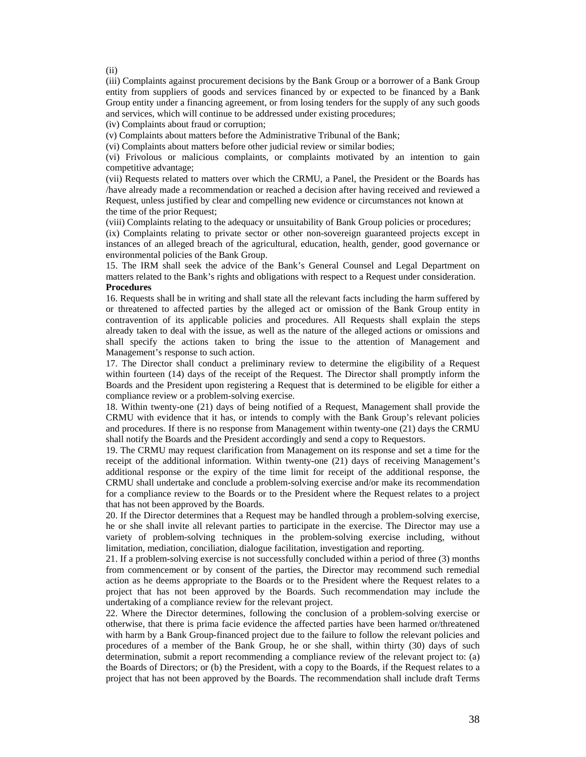(ii)

(iii) Complaints against procurement decisions by the Bank Group or a borrower of a Bank Group entity from suppliers of goods and services financed by or expected to be financed by a Bank Group entity under a financing agreement, or from losing tenders for the supply of any such goods and services, which will continue to be addressed under existing procedures;

(iv) Complaints about fraud or corruption;

(v) Complaints about matters before the Administrative Tribunal of the Bank;

(vi) Complaints about matters before other judicial review or similar bodies;

(vi) Frivolous or malicious complaints, or complaints motivated by an intention to gain competitive advantage;

(vii) Requests related to matters over which the CRMU, a Panel, the President or the Boards has /have already made a recommendation or reached a decision after having received and reviewed a Request, unless justified by clear and compelling new evidence or circumstances not known at the time of the prior Request;

(viii) Complaints relating to the adequacy or unsuitability of Bank Group policies or procedures;

(ix) Complaints relating to private sector or other non-sovereign guaranteed projects except in instances of an alleged breach of the agricultural, education, health, gender, good governance or environmental policies of the Bank Group.

15. The IRM shall seek the advice of the Bank's General Counsel and Legal Department on matters related to the Bank's rights and obligations with respect to a Request under consideration. **Procedures** 

16. Requests shall be in writing and shall state all the relevant facts including the harm suffered by or threatened to affected parties by the alleged act or omission of the Bank Group entity in contravention of its applicable policies and procedures. All Requests shall explain the steps already taken to deal with the issue, as well as the nature of the alleged actions or omissions and shall specify the actions taken to bring the issue to the attention of Management and Management's response to such action.

17. The Director shall conduct a preliminary review to determine the eligibility of a Request within fourteen (14) days of the receipt of the Request. The Director shall promptly inform the Boards and the President upon registering a Request that is determined to be eligible for either a compliance review or a problem-solving exercise.

18. Within twenty-one (21) days of being notified of a Request, Management shall provide the CRMU with evidence that it has, or intends to comply with the Bank Group's relevant policies and procedures. If there is no response from Management within twenty-one (21) days the CRMU shall notify the Boards and the President accordingly and send a copy to Requestors.

19. The CRMU may request clarification from Management on its response and set a time for the receipt of the additional information. Within twenty-one (21) days of receiving Management's additional response or the expiry of the time limit for receipt of the additional response, the CRMU shall undertake and conclude a problem-solving exercise and/or make its recommendation for a compliance review to the Boards or to the President where the Request relates to a project that has not been approved by the Boards.

20. If the Director determines that a Request may be handled through a problem-solving exercise, he or she shall invite all relevant parties to participate in the exercise. The Director may use a variety of problem-solving techniques in the problem-solving exercise including, without limitation, mediation, conciliation, dialogue facilitation, investigation and reporting.

21. If a problem-solving exercise is not successfully concluded within a period of three (3) months from commencement or by consent of the parties, the Director may recommend such remedial action as he deems appropriate to the Boards or to the President where the Request relates to a project that has not been approved by the Boards. Such recommendation may include the undertaking of a compliance review for the relevant project.

22. Where the Director determines, following the conclusion of a problem-solving exercise or otherwise, that there is prima facie evidence the affected parties have been harmed or/threatened with harm by a Bank Group-financed project due to the failure to follow the relevant policies and procedures of a member of the Bank Group, he or she shall, within thirty (30) days of such determination, submit a report recommending a compliance review of the relevant project to: (a) the Boards of Directors; or (b) the President, with a copy to the Boards, if the Request relates to a project that has not been approved by the Boards. The recommendation shall include draft Terms